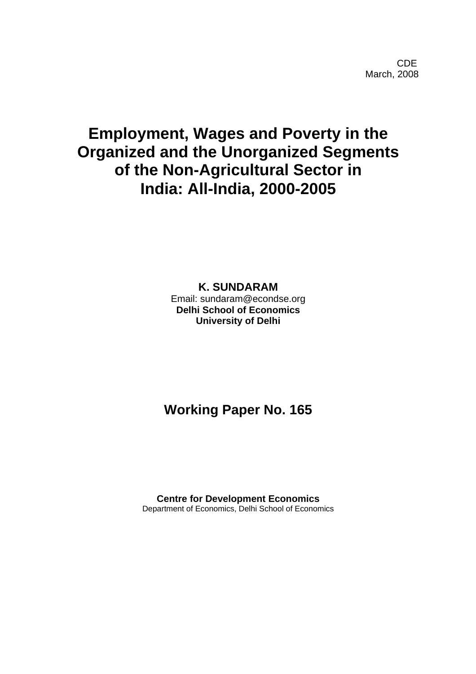**CDE COLLECTION** March, 2008

# **Employment, Wages and Poverty in the Organized and the Unorganized Segments of the Non-Agricultural Sector in India: All-India, 2000-2005**

**K. SUNDARAM** Email: sundaram@econdse.org **Delhi School of Economics University of Delhi** 

# **Working Paper No. 165**

**Centre for Development Economics**  Department of Economics, Delhi School of Economics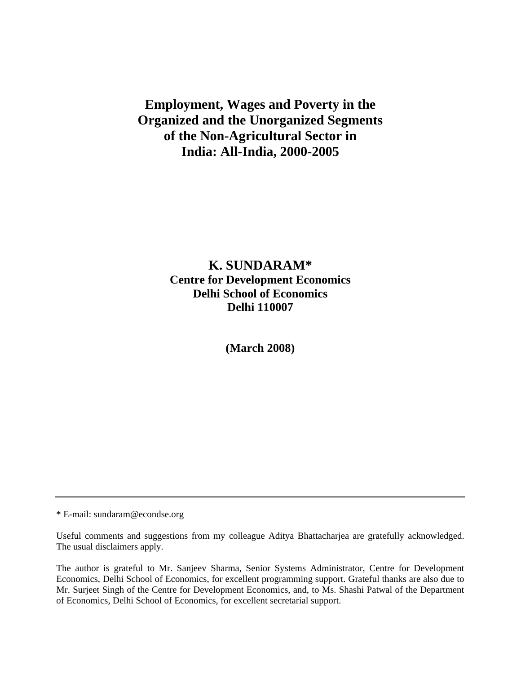**Employment, Wages and Poverty in the Organized and the Unorganized Segments of the Non-Agricultural Sector in India: All-India, 2000-2005** 

# **K. SUNDARAM\* Centre for Development Economics Delhi School of Economics Delhi 110007**

**(March 2008)** 

\* E-mail: sundaram@econdse.org

Useful comments and suggestions from my colleague Aditya Bhattacharjea are gratefully acknowledged. The usual disclaimers apply.

The author is grateful to Mr. Sanjeev Sharma, Senior Systems Administrator, Centre for Development Economics, Delhi School of Economics, for excellent programming support. Grateful thanks are also due to Mr. Surjeet Singh of the Centre for Development Economics, and, to Ms. Shashi Patwal of the Department of Economics, Delhi School of Economics, for excellent secretarial support.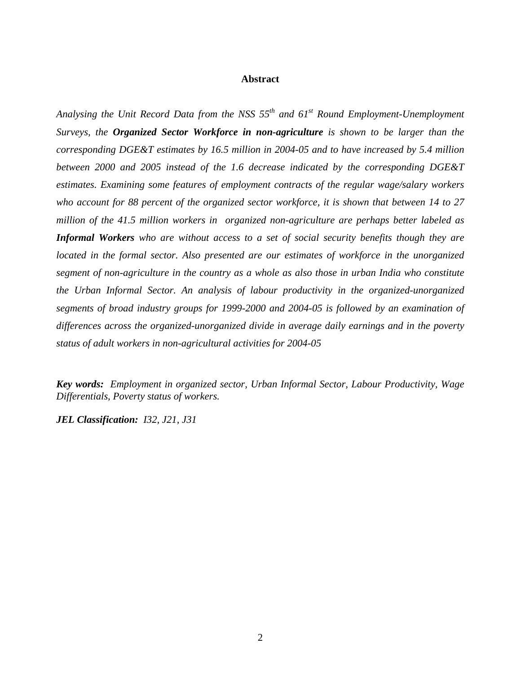#### **Abstract**

*Analysing the Unit Record Data from the NSS 55th and 61st Round Employment-Unemployment Surveys, the Organized Sector Workforce in non-agriculture is shown to be larger than the corresponding DGE&T estimates by 16.5 million in 2004-05 and to have increased by 5.4 million between 2000 and 2005 instead of the 1.6 decrease indicated by the corresponding DGE&T estimates. Examining some features of employment contracts of the regular wage/salary workers who account for 88 percent of the organized sector workforce, it is shown that between 14 to 27 million of the 41.5 million workers in organized non-agriculture are perhaps better labeled as Informal Workers who are without access to a set of social security benefits though they are located in the formal sector. Also presented are our estimates of workforce in the unorganized segment of non-agriculture in the country as a whole as also those in urban India who constitute the Urban Informal Sector. An analysis of labour productivity in the organized-unorganized segments of broad industry groups for 1999-2000 and 2004-05 is followed by an examination of differences across the organized-unorganized divide in average daily earnings and in the poverty status of adult workers in non-agricultural activities for 2004-05* 

*Key words: Employment in organized sector, Urban Informal Sector, Labour Productivity, Wage Differentials, Poverty status of workers.* 

*JEL Classification: I32, J21, J31*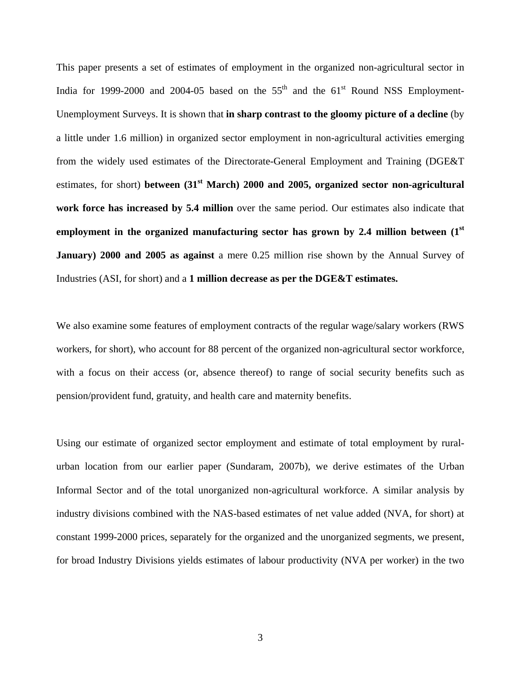This paper presents a set of estimates of employment in the organized non-agricultural sector in India for 1999-2000 and 2004-05 based on the  $55<sup>th</sup>$  and the  $61<sup>st</sup>$  Round NSS Employment-Unemployment Surveys. It is shown that **in sharp contrast to the gloomy picture of a decline** (by a little under 1.6 million) in organized sector employment in non-agricultural activities emerging from the widely used estimates of the Directorate-General Employment and Training (DGE&T estimates, for short) **between (31st March) 2000 and 2005, organized sector non-agricultural work force has increased by 5.4 million** over the same period. Our estimates also indicate that **employment in the organized manufacturing sector has grown by 2.4 million between (1st January) 2000 and 2005 as against** a mere 0.25 million rise shown by the Annual Survey of Industries (ASI, for short) and a **1 million decrease as per the DGE&T estimates.**

We also examine some features of employment contracts of the regular wage/salary workers (RWS workers, for short), who account for 88 percent of the organized non-agricultural sector workforce, with a focus on their access (or, absence thereof) to range of social security benefits such as pension/provident fund, gratuity, and health care and maternity benefits.

Using our estimate of organized sector employment and estimate of total employment by ruralurban location from our earlier paper (Sundaram, 2007b), we derive estimates of the Urban Informal Sector and of the total unorganized non-agricultural workforce. A similar analysis by industry divisions combined with the NAS-based estimates of net value added (NVA, for short) at constant 1999-2000 prices, separately for the organized and the unorganized segments, we present, for broad Industry Divisions yields estimates of labour productivity (NVA per worker) in the two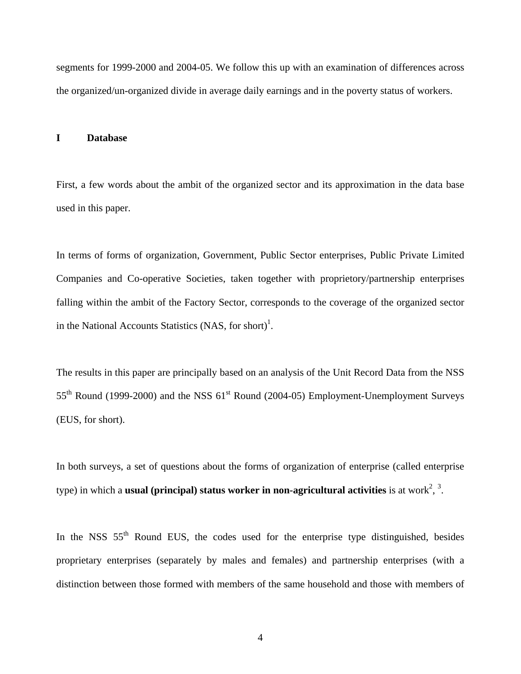segments for 1999-2000 and 2004-05. We follow this up with an examination of differences across the organized/un-organized divide in average daily earnings and in the poverty status of workers.

#### **I Database**

First, a few words about the ambit of the organized sector and its approximation in the data base used in this paper.

In terms of forms of organization, Government, Public Sector enterprises, Public Private Limited Companies and Co-operative Societies, taken together with proprietory/partnership enterprises falling within the ambit of the Factory Sector, corresponds to the coverage of the organized sector in the National Accounts Statistics (NAS, for short)<sup>1</sup>.

The results in this paper are principally based on an analysis of the Unit Record Data from the NSS  $55<sup>th</sup>$  Round (1999-2000) and the NSS  $61<sup>st</sup>$  Round (2004-05) Employment-Unemployment Surveys (EUS, for short).

In both surveys, a set of questions about the forms of organization of enterprise (called enterprise type) in which a **usual (principal) status worker in non-agricultural activities** is at work<sup>[2](#page-43-1)</sup>,  $\frac{3}{2}$  $\frac{3}{2}$  $\frac{3}{2}$ .

In the NSS  $55<sup>th</sup>$  Round EUS, the codes used for the enterprise type distinguished, besides proprietary enterprises (separately by males and females) and partnership enterprises (with a distinction between those formed with members of the same household and those with members of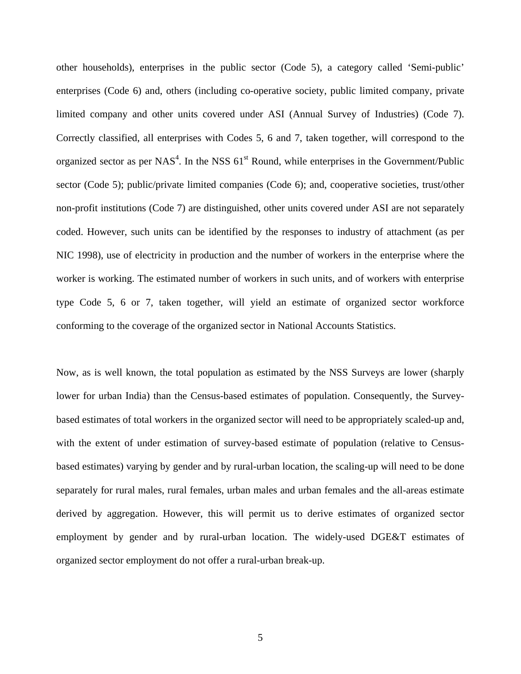other households), enterprises in the public sector (Code 5), a category called 'Semi-public' enterprises (Code 6) and, others (including co-operative society, public limited company, private limited company and other units covered under ASI (Annual Survey of Industries) (Code 7). Correctly classified, all enterprises with Codes 5, 6 and 7, taken together, will correspond to the organized sector as per NAS<sup>[4](#page-43-3)</sup>. In the NSS  $61<sup>st</sup>$  Round, while enterprises in the Government/Public sector (Code 5); public/private limited companies (Code 6); and, cooperative societies, trust/other non-profit institutions (Code 7) are distinguished, other units covered under ASI are not separately coded. However, such units can be identified by the responses to industry of attachment (as per NIC 1998), use of electricity in production and the number of workers in the enterprise where the worker is working. The estimated number of workers in such units, and of workers with enterprise type Code 5, 6 or 7, taken together, will yield an estimate of organized sector workforce conforming to the coverage of the organized sector in National Accounts Statistics.

Now, as is well known, the total population as estimated by the NSS Surveys are lower (sharply lower for urban India) than the Census-based estimates of population. Consequently, the Surveybased estimates of total workers in the organized sector will need to be appropriately scaled-up and, with the extent of under estimation of survey-based estimate of population (relative to Censusbased estimates) varying by gender and by rural-urban location, the scaling-up will need to be done separately for rural males, rural females, urban males and urban females and the all-areas estimate derived by aggregation. However, this will permit us to derive estimates of organized sector employment by gender and by rural-urban location. The widely-used DGE&T estimates of organized sector employment do not offer a rural-urban break-up.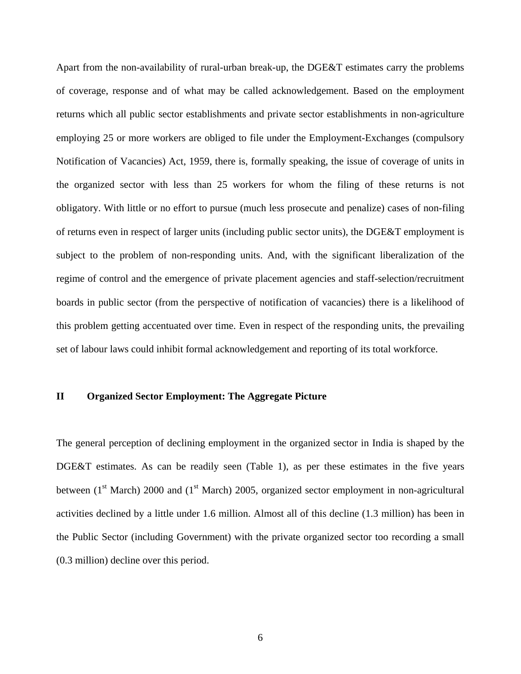Apart from the non-availability of rural-urban break-up, the DGE&T estimates carry the problems of coverage, response and of what may be called acknowledgement. Based on the employment returns which all public sector establishments and private sector establishments in non-agriculture employing 25 or more workers are obliged to file under the Employment-Exchanges (compulsory Notification of Vacancies) Act, 1959, there is, formally speaking, the issue of coverage of units in the organized sector with less than 25 workers for whom the filing of these returns is not obligatory. With little or no effort to pursue (much less prosecute and penalize) cases of non-filing of returns even in respect of larger units (including public sector units), the DGE&T employment is subject to the problem of non-responding units. And, with the significant liberalization of the regime of control and the emergence of private placement agencies and staff-selection/recruitment boards in public sector (from the perspective of notification of vacancies) there is a likelihood of this problem getting accentuated over time. Even in respect of the responding units, the prevailing set of labour laws could inhibit formal acknowledgement and reporting of its total workforce.

#### **II Organized Sector Employment: The Aggregate Picture**

The general perception of declining employment in the organized sector in India is shaped by the DGE&T estimates. As can be readily seen (Table 1), as per these estimates in the five years between  $(1<sup>st</sup> March)$  2000 and  $(1<sup>st</sup> March)$  2005, organized sector employment in non-agricultural activities declined by a little under 1.6 million. Almost all of this decline (1.3 million) has been in the Public Sector (including Government) with the private organized sector too recording a small (0.3 million) decline over this period.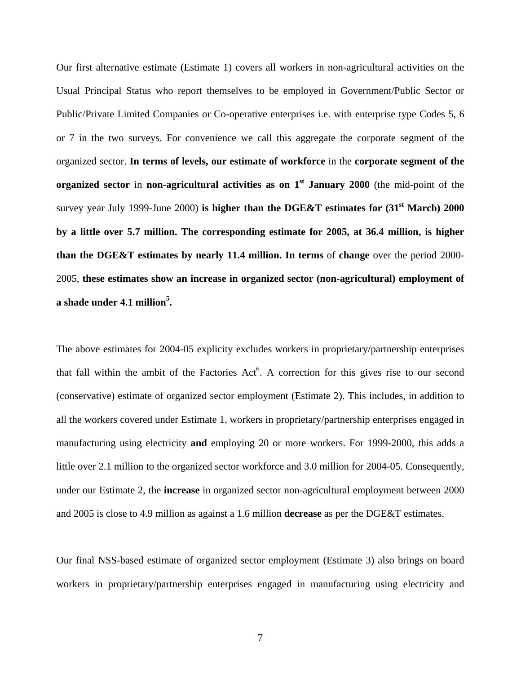Our first alternative estimate (Estimate 1) covers all workers in non-agricultural activities on the Usual Principal Status who report themselves to be employed in Government/Public Sector or Public/Private Limited Companies or Co-operative enterprises i.e. with enterprise type Codes 5, 6 or 7 in the two surveys. For convenience we call this aggregate the corporate segment of the organized sector. **In terms of levels, our estimate of workforce** in the **corporate segment of the organized sector** in **non-agricultural activities as on 1<sup>st</sup> January 2000** (the mid-point of the survey year July 1999-June 2000) is higher than the DGE&T estimates for  $(31<sup>st</sup> March)$  2000 **by a little over 5.7 million. The corresponding estimate for 2005, at 36.4 million, is higher than the DGE&T estimates by nearly 11.4 million. In terms** of **change** over the period 2000- 2005, **these estimates show an increase in organized sector (non-agricultural) employment of a shade under 4.1 millio[n5](#page-43-4) .** 

The above estimates for 2004-05 explicity excludes workers in proprietary/partnership enterprises that fall within the ambit of the Factories Act<sup>6</sup>. A correction for this gives rise to our second (conservative) estimate of organized sector employment (Estimate 2). This includes, in addition to all the workers covered under Estimate 1, workers in proprietary/partnership enterprises engaged in manufacturing using electricity **and** employing 20 or more workers. For 1999-2000, this adds a little over 2.1 million to the organized sector workforce and 3.0 million for 2004-05. Consequently, under our Estimate 2, the **increase** in organized sector non-agricultural employment between 2000 and 2005 is close to 4.9 million as against a 1.6 million **decrease** as per the DGE&T estimates.

Our final NSS-based estimate of organized sector employment (Estimate 3) also brings on board workers in proprietary/partnership enterprises engaged in manufacturing using electricity and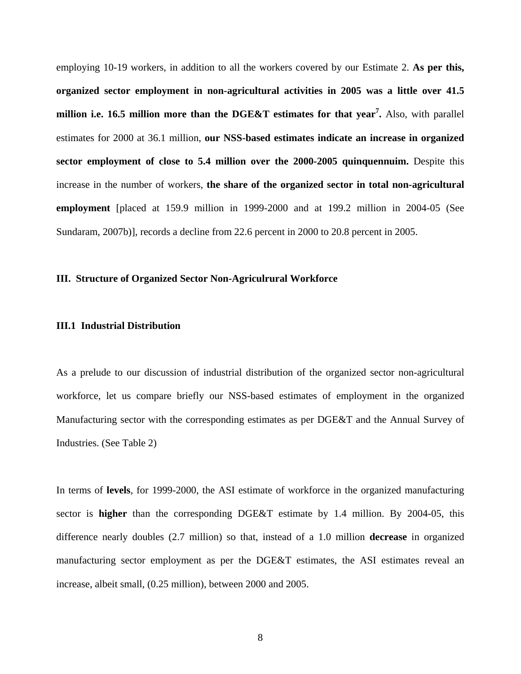employing 10-19 workers, in addition to all the workers covered by our Estimate 2. **As per this, organized sector employment in non-agricultural activities in 2005 was a little over 41.5 million i.e. 16.5 million more than the DGE&T estimates for that year[7](#page-43-6) .** Also, with parallel estimates for 2000 at 36.1 million, **our NSS-based estimates indicate an increase in organized sector employment of close to 5.4 million over the 2000-2005 quinquennuim.** Despite this increase in the number of workers, **the share of the organized sector in total non-agricultural employment** [placed at 159.9 million in 1999-2000 and at 199.2 million in 2004-05 (See Sundaram, 2007b)], records a decline from 22.6 percent in 2000 to 20.8 percent in 2005.

#### **III. Structure of Organized Sector Non-Agriculrural Workforce**

#### **III.1 Industrial Distribution**

As a prelude to our discussion of industrial distribution of the organized sector non-agricultural workforce, let us compare briefly our NSS-based estimates of employment in the organized Manufacturing sector with the corresponding estimates as per DGE&T and the Annual Survey of Industries. (See Table 2)

In terms of **levels**, for 1999-2000, the ASI estimate of workforce in the organized manufacturing sector is **higher** than the corresponding DGE&T estimate by 1.4 million. By 2004-05, this difference nearly doubles (2.7 million) so that, instead of a 1.0 million **decrease** in organized manufacturing sector employment as per the DGE&T estimates, the ASI estimates reveal an increase, albeit small, (0.25 million), between 2000 and 2005.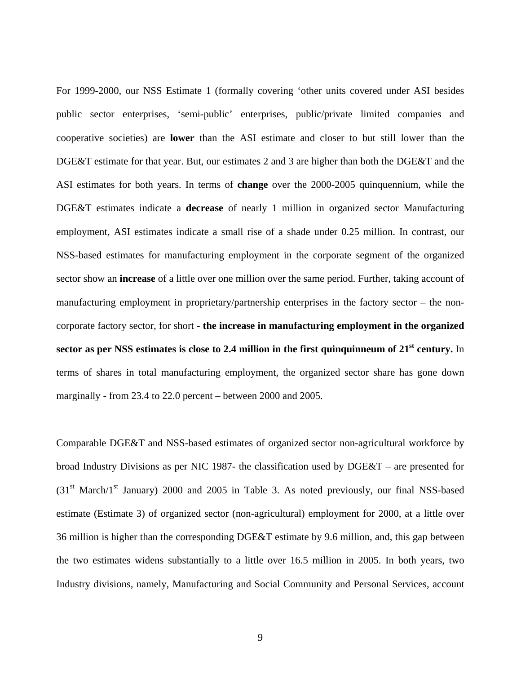For 1999-2000, our NSS Estimate 1 (formally covering 'other units covered under ASI besides public sector enterprises, 'semi-public' enterprises, public/private limited companies and cooperative societies) are **lower** than the ASI estimate and closer to but still lower than the DGE&T estimate for that year. But, our estimates 2 and 3 are higher than both the DGE&T and the ASI estimates for both years. In terms of **change** over the 2000-2005 quinquennium, while the DGE&T estimates indicate a **decrease** of nearly 1 million in organized sector Manufacturing employment, ASI estimates indicate a small rise of a shade under 0.25 million. In contrast, our NSS-based estimates for manufacturing employment in the corporate segment of the organized sector show an **increase** of a little over one million over the same period. Further, taking account of manufacturing employment in proprietary/partnership enterprises in the factory sector – the noncorporate factory sector, for short - **the increase in manufacturing employment in the organized** sector as per NSS estimates is close to 2.4 million in the first quinquinneum of 21<sup>st</sup> century. In terms of shares in total manufacturing employment, the organized sector share has gone down marginally - from 23.4 to 22.0 percent – between 2000 and 2005.

Comparable DGE&T and NSS-based estimates of organized sector non-agricultural workforce by broad Industry Divisions as per NIC 1987- the classification used by DGE&T – are presented for  $(31<sup>st</sup> March/1<sup>st</sup> January)$  2000 and 2005 in Table 3. As noted previously, our final NSS-based estimate (Estimate 3) of organized sector (non-agricultural) employment for 2000, at a little over 36 million is higher than the corresponding DGE&T estimate by 9.6 million, and, this gap between the two estimates widens substantially to a little over 16.5 million in 2005. In both years, two Industry divisions, namely, Manufacturing and Social Community and Personal Services, account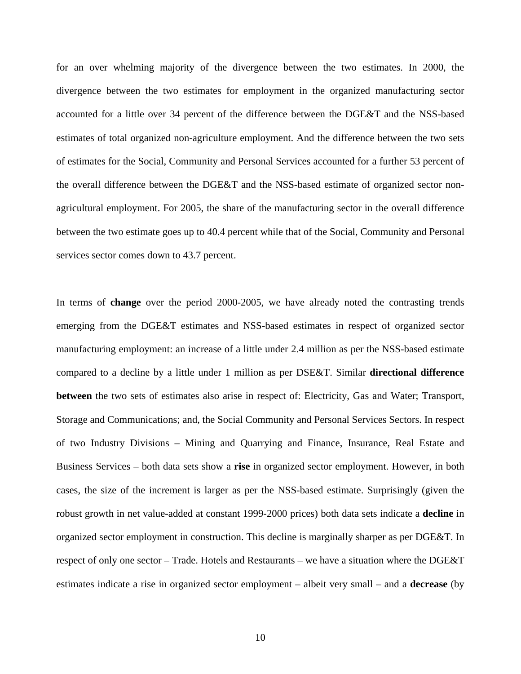for an over whelming majority of the divergence between the two estimates. In 2000, the divergence between the two estimates for employment in the organized manufacturing sector accounted for a little over 34 percent of the difference between the DGE&T and the NSS-based estimates of total organized non-agriculture employment. And the difference between the two sets of estimates for the Social, Community and Personal Services accounted for a further 53 percent of the overall difference between the DGE&T and the NSS-based estimate of organized sector nonagricultural employment. For 2005, the share of the manufacturing sector in the overall difference between the two estimate goes up to 40.4 percent while that of the Social, Community and Personal services sector comes down to 43.7 percent.

In terms of **change** over the period 2000-2005, we have already noted the contrasting trends emerging from the DGE&T estimates and NSS-based estimates in respect of organized sector manufacturing employment: an increase of a little under 2.4 million as per the NSS-based estimate compared to a decline by a little under 1 million as per DSE&T. Similar **directional difference between** the two sets of estimates also arise in respect of: Electricity, Gas and Water; Transport, Storage and Communications; and, the Social Community and Personal Services Sectors. In respect of two Industry Divisions – Mining and Quarrying and Finance, Insurance, Real Estate and Business Services – both data sets show a **rise** in organized sector employment. However, in both cases, the size of the increment is larger as per the NSS-based estimate. Surprisingly (given the robust growth in net value-added at constant 1999-2000 prices) both data sets indicate a **decline** in organized sector employment in construction. This decline is marginally sharper as per DGE&T. In respect of only one sector – Trade. Hotels and Restaurants – we have a situation where the DGE&T estimates indicate a rise in organized sector employment – albeit very small – and a **decrease** (by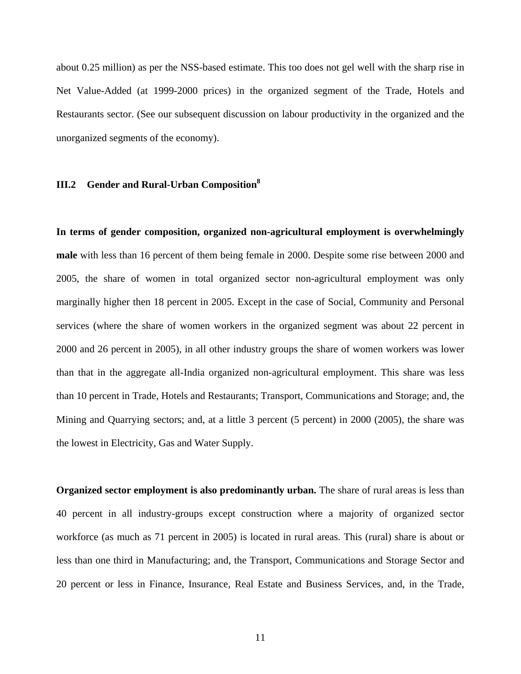about 0.25 million) as per the NSS-based estimate. This too does not gel well with the sharp rise in Net Value-Added (at 1999-2000 prices) in the organized segment of the Trade, Hotels and Restaurants sector. (See our subsequent discussion on labour productivity in the organized and the unorganized segments of the economy).

## **III.2 Gender and Rural-Urban Composition[8](#page-43-7)**

**In terms of gender composition, organized non-agricultural employment is overwhelmingly male** with less than 16 percent of them being female in 2000. Despite some rise between 2000 and 2005, the share of women in total organized sector non-agricultural employment was only marginally higher then 18 percent in 2005. Except in the case of Social, Community and Personal services (where the share of women workers in the organized segment was about 22 percent in 2000 and 26 percent in 2005), in all other industry groups the share of women workers was lower than that in the aggregate all-India organized non-agricultural employment. This share was less than 10 percent in Trade, Hotels and Restaurants; Transport, Communications and Storage; and, the Mining and Quarrying sectors; and, at a little 3 percent (5 percent) in 2000 (2005), the share was the lowest in Electricity, Gas and Water Supply.

**Organized sector employment is also predominantly urban.** The share of rural areas is less than 40 percent in all industry-groups except construction where a majority of organized sector workforce (as much as 71 percent in 2005) is located in rural areas. This (rural) share is about or less than one third in Manufacturing; and, the Transport, Communications and Storage Sector and 20 percent or less in Finance, Insurance, Real Estate and Business Services, and, in the Trade,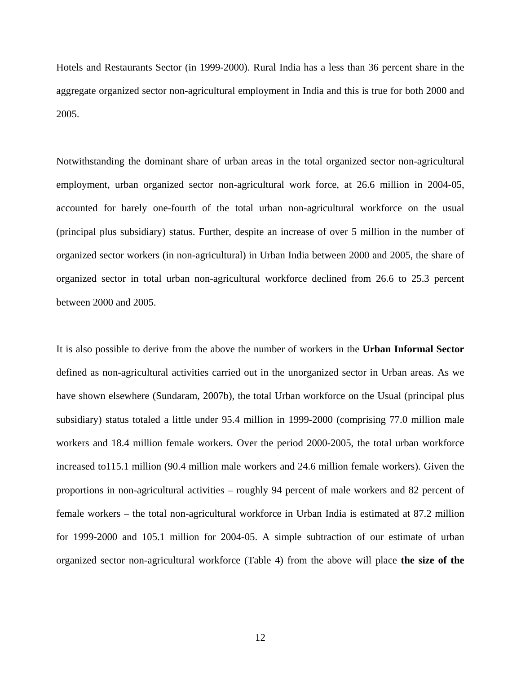Hotels and Restaurants Sector (in 1999-2000). Rural India has a less than 36 percent share in the aggregate organized sector non-agricultural employment in India and this is true for both 2000 and 2005.

Notwithstanding the dominant share of urban areas in the total organized sector non-agricultural employment, urban organized sector non-agricultural work force, at 26.6 million in 2004-05, accounted for barely one-fourth of the total urban non-agricultural workforce on the usual (principal plus subsidiary) status. Further, despite an increase of over 5 million in the number of organized sector workers (in non-agricultural) in Urban India between 2000 and 2005, the share of organized sector in total urban non-agricultural workforce declined from 26.6 to 25.3 percent between 2000 and 2005.

It is also possible to derive from the above the number of workers in the **Urban Informal Sector** defined as non-agricultural activities carried out in the unorganized sector in Urban areas. As we have shown elsewhere (Sundaram, 2007b), the total Urban workforce on the Usual (principal plus subsidiary) status totaled a little under 95.4 million in 1999-2000 (comprising 77.0 million male workers and 18.4 million female workers. Over the period 2000-2005, the total urban workforce increased to115.1 million (90.4 million male workers and 24.6 million female workers). Given the proportions in non-agricultural activities – roughly 94 percent of male workers and 82 percent of female workers – the total non-agricultural workforce in Urban India is estimated at 87.2 million for 1999-2000 and 105.1 million for 2004-05. A simple subtraction of our estimate of urban organized sector non-agricultural workforce (Table 4) from the above will place **the size of the**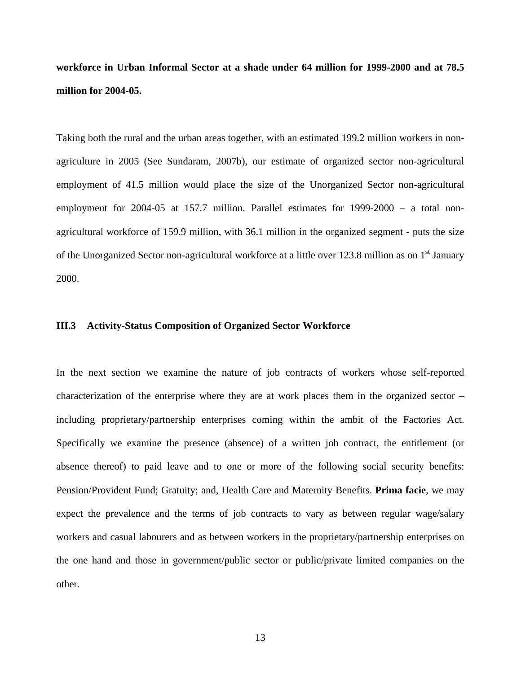**workforce in Urban Informal Sector at a shade under 64 million for 1999-2000 and at 78.5 million for 2004-05.** 

Taking both the rural and the urban areas together, with an estimated 199.2 million workers in nonagriculture in 2005 (See Sundaram, 2007b), our estimate of organized sector non-agricultural employment of 41.5 million would place the size of the Unorganized Sector non-agricultural employment for 2004-05 at 157.7 million. Parallel estimates for 1999-2000 – a total nonagricultural workforce of 159.9 million, with 36.1 million in the organized segment - puts the size of the Unorganized Sector non-agricultural workforce at a little over 123.8 million as on 1<sup>st</sup> January 2000.

#### **III.3 Activity-Status Composition of Organized Sector Workforce**

In the next section we examine the nature of job contracts of workers whose self-reported characterization of the enterprise where they are at work places them in the organized sector – including proprietary/partnership enterprises coming within the ambit of the Factories Act. Specifically we examine the presence (absence) of a written job contract, the entitlement (or absence thereof) to paid leave and to one or more of the following social security benefits: Pension/Provident Fund; Gratuity; and, Health Care and Maternity Benefits. **Prima facie**, we may expect the prevalence and the terms of job contracts to vary as between regular wage/salary workers and casual labourers and as between workers in the proprietary/partnership enterprises on the one hand and those in government/public sector or public/private limited companies on the other.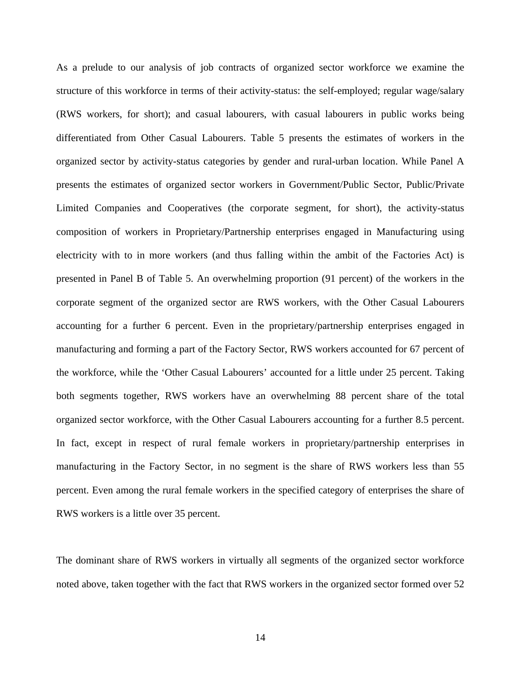As a prelude to our analysis of job contracts of organized sector workforce we examine the structure of this workforce in terms of their activity-status: the self-employed; regular wage/salary (RWS workers, for short); and casual labourers, with casual labourers in public works being differentiated from Other Casual Labourers. Table 5 presents the estimates of workers in the organized sector by activity-status categories by gender and rural-urban location. While Panel A presents the estimates of organized sector workers in Government/Public Sector, Public/Private Limited Companies and Cooperatives (the corporate segment, for short), the activity-status composition of workers in Proprietary/Partnership enterprises engaged in Manufacturing using electricity with to in more workers (and thus falling within the ambit of the Factories Act) is presented in Panel B of Table 5. An overwhelming proportion (91 percent) of the workers in the corporate segment of the organized sector are RWS workers, with the Other Casual Labourers accounting for a further 6 percent. Even in the proprietary/partnership enterprises engaged in manufacturing and forming a part of the Factory Sector, RWS workers accounted for 67 percent of the workforce, while the 'Other Casual Labourers' accounted for a little under 25 percent. Taking both segments together, RWS workers have an overwhelming 88 percent share of the total organized sector workforce, with the Other Casual Labourers accounting for a further 8.5 percent. In fact, except in respect of rural female workers in proprietary/partnership enterprises in manufacturing in the Factory Sector, in no segment is the share of RWS workers less than 55 percent. Even among the rural female workers in the specified category of enterprises the share of RWS workers is a little over 35 percent.

The dominant share of RWS workers in virtually all segments of the organized sector workforce noted above, taken together with the fact that RWS workers in the organized sector formed over 52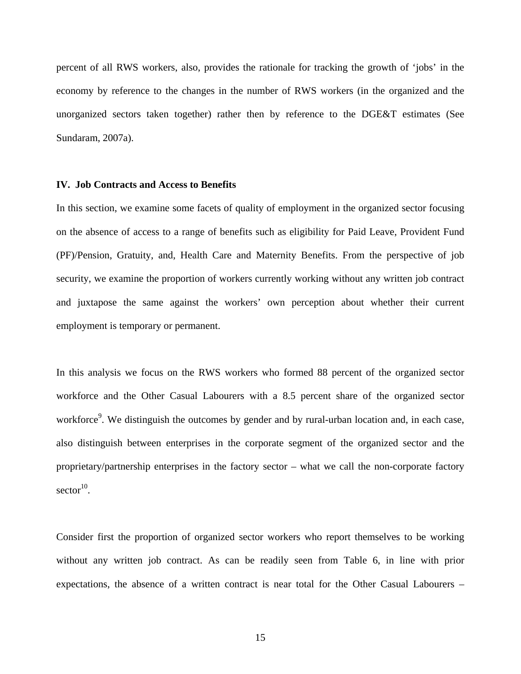percent of all RWS workers, also, provides the rationale for tracking the growth of 'jobs' in the economy by reference to the changes in the number of RWS workers (in the organized and the unorganized sectors taken together) rather then by reference to the DGE&T estimates (See Sundaram, 2007a).

#### **IV. Job Contracts and Access to Benefits**

In this section, we examine some facets of quality of employment in the organized sector focusing on the absence of access to a range of benefits such as eligibility for Paid Leave, Provident Fund (PF)/Pension, Gratuity, and, Health Care and Maternity Benefits. From the perspective of job security, we examine the proportion of workers currently working without any written job contract and juxtapose the same against the workers' own perception about whether their current employment is temporary or permanent.

In this analysis we focus on the RWS workers who formed 88 percent of the organized sector workforce and the Other Casual Labourers with a 8.5 percent share of the organized sector workforce<sup>[9](#page-43-8)</sup>. We distinguish the outcomes by gender and by rural-urban location and, in each case, also distinguish between enterprises in the corporate segment of the organized sector and the proprietary/partnership enterprises in the factory sector – what we call the non-corporate factory  $sector<sup>10</sup>$ .

Consider first the proportion of organized sector workers who report themselves to be working without any written job contract. As can be readily seen from Table 6, in line with prior expectations, the absence of a written contract is near total for the Other Casual Labourers –

15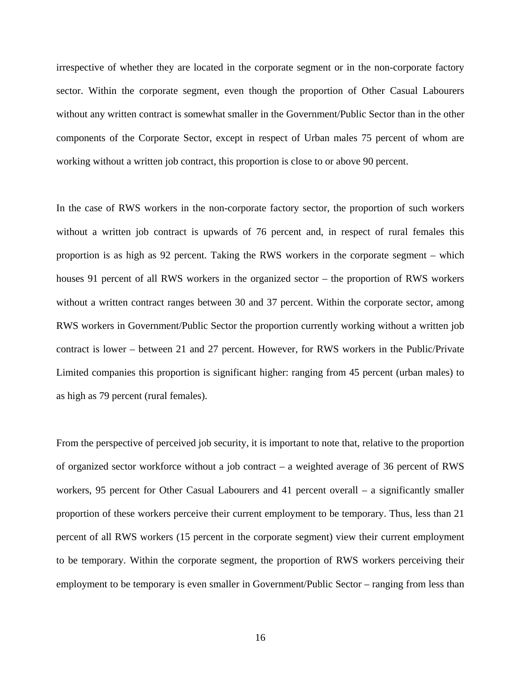irrespective of whether they are located in the corporate segment or in the non-corporate factory sector. Within the corporate segment, even though the proportion of Other Casual Labourers without any written contract is somewhat smaller in the Government/Public Sector than in the other components of the Corporate Sector, except in respect of Urban males 75 percent of whom are working without a written job contract, this proportion is close to or above 90 percent.

In the case of RWS workers in the non-corporate factory sector, the proportion of such workers without a written job contract is upwards of 76 percent and, in respect of rural females this proportion is as high as 92 percent. Taking the RWS workers in the corporate segment – which houses 91 percent of all RWS workers in the organized sector – the proportion of RWS workers without a written contract ranges between 30 and 37 percent. Within the corporate sector, among RWS workers in Government/Public Sector the proportion currently working without a written job contract is lower – between 21 and 27 percent. However, for RWS workers in the Public/Private Limited companies this proportion is significant higher: ranging from 45 percent (urban males) to as high as 79 percent (rural females).

From the perspective of perceived job security, it is important to note that, relative to the proportion of organized sector workforce without a job contract – a weighted average of 36 percent of RWS workers, 95 percent for Other Casual Labourers and 41 percent overall – a significantly smaller proportion of these workers perceive their current employment to be temporary. Thus, less than 21 percent of all RWS workers (15 percent in the corporate segment) view their current employment to be temporary. Within the corporate segment, the proportion of RWS workers perceiving their employment to be temporary is even smaller in Government/Public Sector – ranging from less than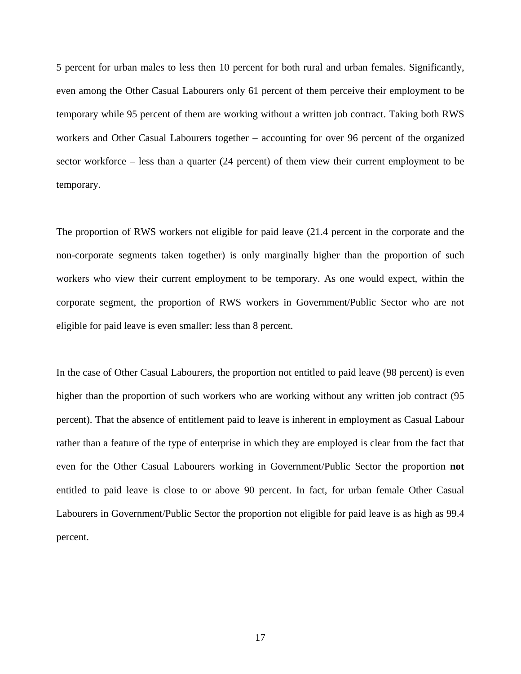5 percent for urban males to less then 10 percent for both rural and urban females. Significantly, even among the Other Casual Labourers only 61 percent of them perceive their employment to be temporary while 95 percent of them are working without a written job contract. Taking both RWS workers and Other Casual Labourers together – accounting for over 96 percent of the organized sector workforce – less than a quarter (24 percent) of them view their current employment to be temporary.

The proportion of RWS workers not eligible for paid leave (21.4 percent in the corporate and the non-corporate segments taken together) is only marginally higher than the proportion of such workers who view their current employment to be temporary. As one would expect, within the corporate segment, the proportion of RWS workers in Government/Public Sector who are not eligible for paid leave is even smaller: less than 8 percent.

In the case of Other Casual Labourers, the proportion not entitled to paid leave (98 percent) is even higher than the proportion of such workers who are working without any written job contract (95 percent). That the absence of entitlement paid to leave is inherent in employment as Casual Labour rather than a feature of the type of enterprise in which they are employed is clear from the fact that even for the Other Casual Labourers working in Government/Public Sector the proportion **not** entitled to paid leave is close to or above 90 percent. In fact, for urban female Other Casual Labourers in Government/Public Sector the proportion not eligible for paid leave is as high as 99.4 percent.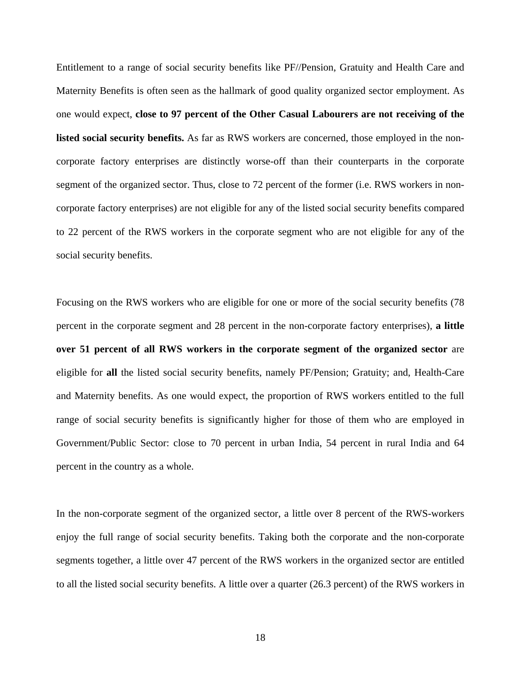Entitlement to a range of social security benefits like PF//Pension, Gratuity and Health Care and Maternity Benefits is often seen as the hallmark of good quality organized sector employment. As one would expect, **close to 97 percent of the Other Casual Labourers are not receiving of the listed social security benefits.** As far as RWS workers are concerned, those employed in the noncorporate factory enterprises are distinctly worse-off than their counterparts in the corporate segment of the organized sector. Thus, close to 72 percent of the former (i.e. RWS workers in noncorporate factory enterprises) are not eligible for any of the listed social security benefits compared to 22 percent of the RWS workers in the corporate segment who are not eligible for any of the social security benefits.

Focusing on the RWS workers who are eligible for one or more of the social security benefits (78 percent in the corporate segment and 28 percent in the non-corporate factory enterprises), **a little over 51 percent of all RWS workers in the corporate segment of the organized sector** are eligible for **all** the listed social security benefits, namely PF/Pension; Gratuity; and, Health-Care and Maternity benefits. As one would expect, the proportion of RWS workers entitled to the full range of social security benefits is significantly higher for those of them who are employed in Government/Public Sector: close to 70 percent in urban India, 54 percent in rural India and 64 percent in the country as a whole.

In the non-corporate segment of the organized sector, a little over 8 percent of the RWS-workers enjoy the full range of social security benefits. Taking both the corporate and the non-corporate segments together, a little over 47 percent of the RWS workers in the organized sector are entitled to all the listed social security benefits. A little over a quarter (26.3 percent) of the RWS workers in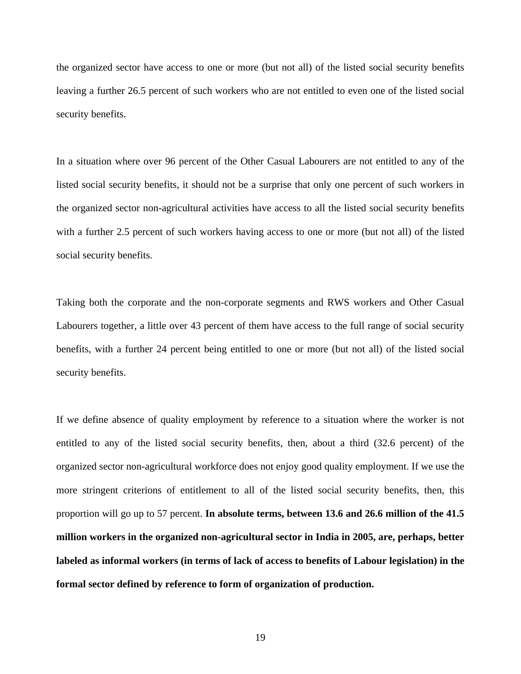the organized sector have access to one or more (but not all) of the listed social security benefits leaving a further 26.5 percent of such workers who are not entitled to even one of the listed social security benefits.

In a situation where over 96 percent of the Other Casual Labourers are not entitled to any of the listed social security benefits, it should not be a surprise that only one percent of such workers in the organized sector non-agricultural activities have access to all the listed social security benefits with a further 2.5 percent of such workers having access to one or more (but not all) of the listed social security benefits.

Taking both the corporate and the non-corporate segments and RWS workers and Other Casual Labourers together, a little over 43 percent of them have access to the full range of social security benefits, with a further 24 percent being entitled to one or more (but not all) of the listed social security benefits.

If we define absence of quality employment by reference to a situation where the worker is not entitled to any of the listed social security benefits, then, about a third (32.6 percent) of the organized sector non-agricultural workforce does not enjoy good quality employment. If we use the more stringent criterions of entitlement to all of the listed social security benefits, then, this proportion will go up to 57 percent. **In absolute terms, between 13.6 and 26.6 million of the 41.5 million workers in the organized non-agricultural sector in India in 2005, are, perhaps, better labeled as informal workers (in terms of lack of access to benefits of Labour legislation) in the formal sector defined by reference to form of organization of production.**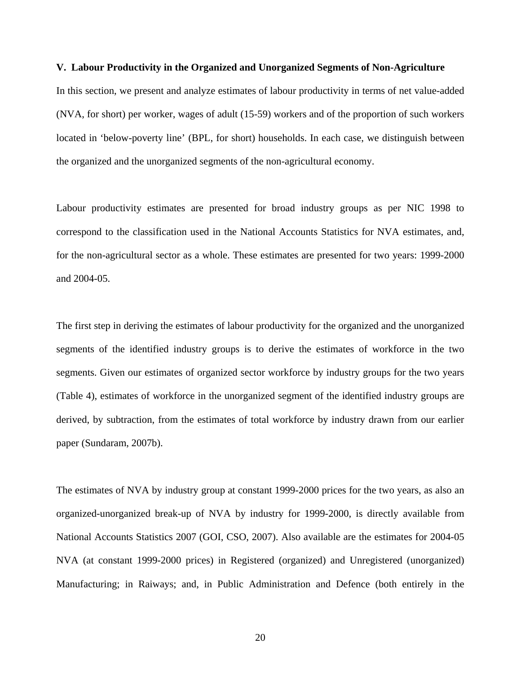#### **V. Labour Productivity in the Organized and Unorganized Segments of Non-Agriculture**

In this section, we present and analyze estimates of labour productivity in terms of net value-added (NVA, for short) per worker, wages of adult (15-59) workers and of the proportion of such workers located in 'below-poverty line' (BPL, for short) households. In each case, we distinguish between the organized and the unorganized segments of the non-agricultural economy.

Labour productivity estimates are presented for broad industry groups as per NIC 1998 to correspond to the classification used in the National Accounts Statistics for NVA estimates, and, for the non-agricultural sector as a whole. These estimates are presented for two years: 1999-2000 and 2004-05.

The first step in deriving the estimates of labour productivity for the organized and the unorganized segments of the identified industry groups is to derive the estimates of workforce in the two segments. Given our estimates of organized sector workforce by industry groups for the two years (Table 4), estimates of workforce in the unorganized segment of the identified industry groups are derived, by subtraction, from the estimates of total workforce by industry drawn from our earlier paper (Sundaram, 2007b).

The estimates of NVA by industry group at constant 1999-2000 prices for the two years, as also an organized-unorganized break-up of NVA by industry for 1999-2000, is directly available from National Accounts Statistics 2007 (GOI, CSO, 2007). Also available are the estimates for 2004-05 NVA (at constant 1999-2000 prices) in Registered (organized) and Unregistered (unorganized) Manufacturing; in Raiways; and, in Public Administration and Defence (both entirely in the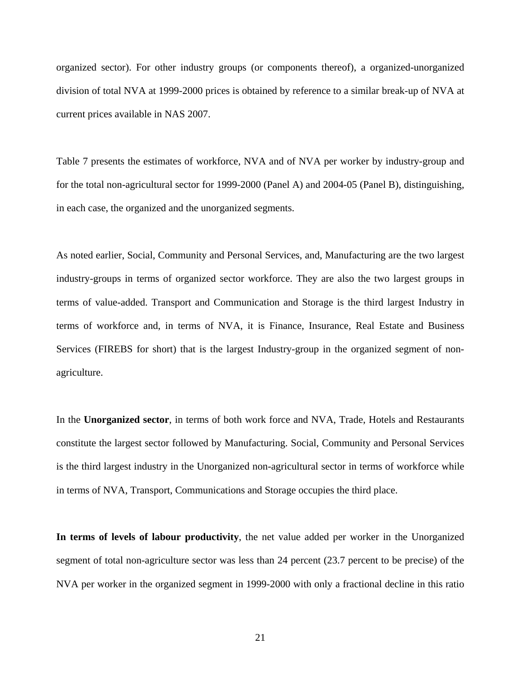organized sector). For other industry groups (or components thereof), a organized-unorganized division of total NVA at 1999-2000 prices is obtained by reference to a similar break-up of NVA at current prices available in NAS 2007.

Table 7 presents the estimates of workforce, NVA and of NVA per worker by industry-group and for the total non-agricultural sector for 1999-2000 (Panel A) and 2004-05 (Panel B), distinguishing, in each case, the organized and the unorganized segments.

As noted earlier, Social, Community and Personal Services, and, Manufacturing are the two largest industry-groups in terms of organized sector workforce. They are also the two largest groups in terms of value-added. Transport and Communication and Storage is the third largest Industry in terms of workforce and, in terms of NVA, it is Finance, Insurance, Real Estate and Business Services (FIREBS for short) that is the largest Industry-group in the organized segment of nonagriculture.

In the **Unorganized sector**, in terms of both work force and NVA, Trade, Hotels and Restaurants constitute the largest sector followed by Manufacturing. Social, Community and Personal Services is the third largest industry in the Unorganized non-agricultural sector in terms of workforce while in terms of NVA, Transport, Communications and Storage occupies the third place.

**In terms of levels of labour productivity**, the net value added per worker in the Unorganized segment of total non-agriculture sector was less than 24 percent (23.7 percent to be precise) of the NVA per worker in the organized segment in 1999-2000 with only a fractional decline in this ratio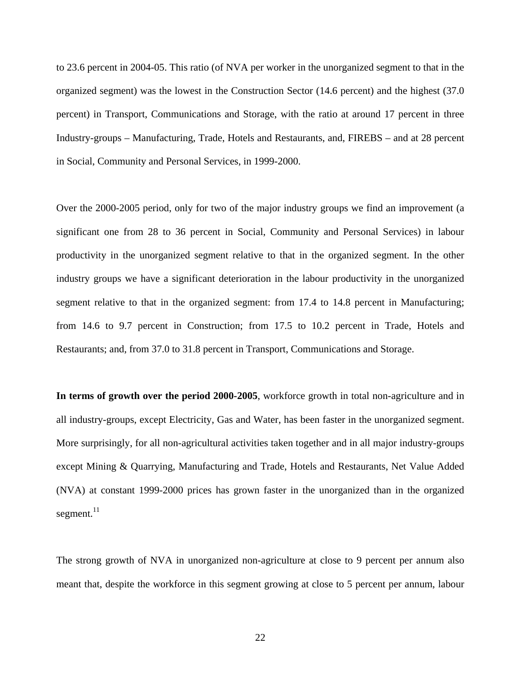to 23.6 percent in 2004-05. This ratio (of NVA per worker in the unorganized segment to that in the organized segment) was the lowest in the Construction Sector (14.6 percent) and the highest (37.0 percent) in Transport, Communications and Storage, with the ratio at around 17 percent in three Industry-groups – Manufacturing, Trade, Hotels and Restaurants, and, FIREBS – and at 28 percent in Social, Community and Personal Services, in 1999-2000.

Over the 2000-2005 period, only for two of the major industry groups we find an improvement (a significant one from 28 to 36 percent in Social, Community and Personal Services) in labour productivity in the unorganized segment relative to that in the organized segment. In the other industry groups we have a significant deterioration in the labour productivity in the unorganized segment relative to that in the organized segment: from 17.4 to 14.8 percent in Manufacturing; from 14.6 to 9.7 percent in Construction; from 17.5 to 10.2 percent in Trade, Hotels and Restaurants; and, from 37.0 to 31.8 percent in Transport, Communications and Storage.

**In terms of growth over the period 2000-2005**, workforce growth in total non-agriculture and in all industry-groups, except Electricity, Gas and Water, has been faster in the unorganized segment. More surprisingly, for all non-agricultural activities taken together and in all major industry-groups except Mining & Quarrying, Manufacturing and Trade, Hotels and Restaurants, Net Value Added (NVA) at constant 1999-2000 prices has grown faster in the unorganized than in the organized segment.<sup>11</sup>

The strong growth of NVA in unorganized non-agriculture at close to 9 percent per annum also meant that, despite the workforce in this segment growing at close to 5 percent per annum, labour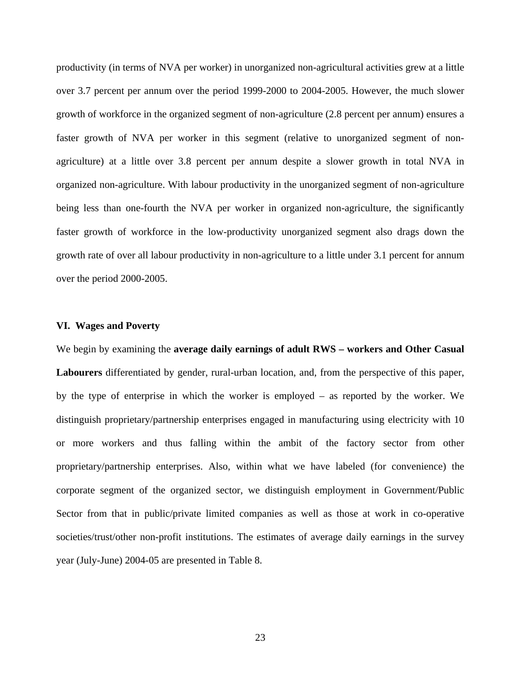productivity (in terms of NVA per worker) in unorganized non-agricultural activities grew at a little over 3.7 percent per annum over the period 1999-2000 to 2004-2005. However, the much slower growth of workforce in the organized segment of non-agriculture (2.8 percent per annum) ensures a faster growth of NVA per worker in this segment (relative to unorganized segment of nonagriculture) at a little over 3.8 percent per annum despite a slower growth in total NVA in organized non-agriculture. With labour productivity in the unorganized segment of non-agriculture being less than one-fourth the NVA per worker in organized non-agriculture, the significantly faster growth of workforce in the low-productivity unorganized segment also drags down the growth rate of over all labour productivity in non-agriculture to a little under 3.1 percent for annum over the period 2000-2005.

#### **VI. Wages and Poverty**

We begin by examining the **average daily earnings of adult RWS** – workers and Other Casual **Labourers** differentiated by gender, rural-urban location, and, from the perspective of this paper, by the type of enterprise in which the worker is employed – as reported by the worker. We distinguish proprietary/partnership enterprises engaged in manufacturing using electricity with 10 or more workers and thus falling within the ambit of the factory sector from other proprietary/partnership enterprises. Also, within what we have labeled (for convenience) the corporate segment of the organized sector, we distinguish employment in Government/Public Sector from that in public/private limited companies as well as those at work in co-operative societies/trust/other non-profit institutions. The estimates of average daily earnings in the survey year (July-June) 2004-05 are presented in Table 8.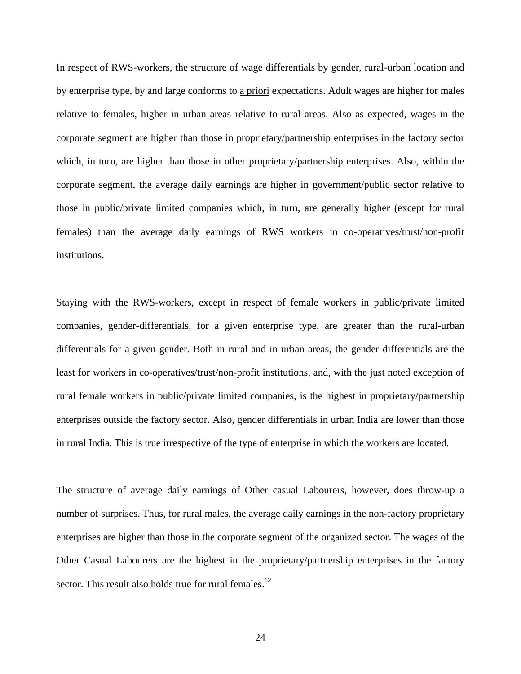In respect of RWS-workers, the structure of wage differentials by gender, rural-urban location and by enterprise type, by and large conforms to a priori expectations. Adult wages are higher for males relative to females, higher in urban areas relative to rural areas. Also as expected, wages in the corporate segment are higher than those in proprietary/partnership enterprises in the factory sector which, in turn, are higher than those in other proprietary/partnership enterprises. Also, within the corporate segment, the average daily earnings are higher in government/public sector relative to those in public/private limited companies which, in turn, are generally higher (except for rural females) than the average daily earnings of RWS workers in co-operatives/trust/non-profit institutions.

Staying with the RWS-workers, except in respect of female workers in public/private limited companies, gender-differentials, for a given enterprise type, are greater than the rural-urban differentials for a given gender. Both in rural and in urban areas, the gender differentials are the least for workers in co-operatives/trust/non-profit institutions, and, with the just noted exception of rural female workers in public/private limited companies, is the highest in proprietary/partnership enterprises outside the factory sector. Also, gender differentials in urban India are lower than those in rural India. This is true irrespective of the type of enterprise in which the workers are located.

The structure of average daily earnings of Other casual Labourers, however, does throw-up a number of surprises. Thus, for rural males, the average daily earnings in the non-factory proprietary enterprises are higher than those in the corporate segment of the organized sector. The wages of the Other Casual Labourers are the highest in the proprietary/partnership enterprises in the factory sector. This result also holds true for rural females. $^{12}$  $^{12}$  $^{12}$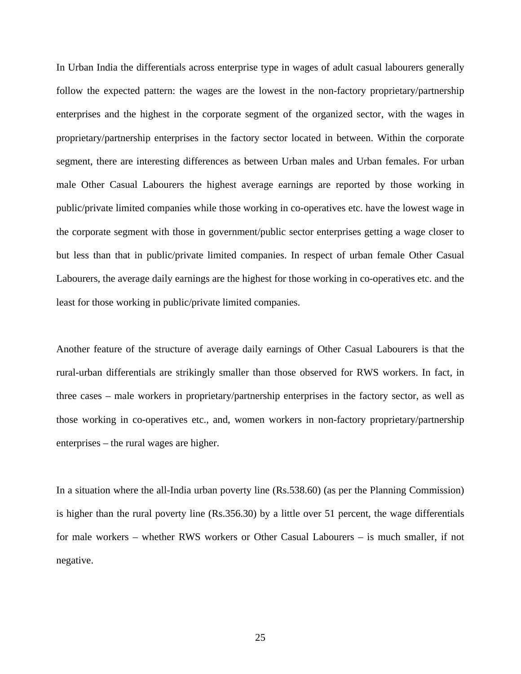In Urban India the differentials across enterprise type in wages of adult casual labourers generally follow the expected pattern: the wages are the lowest in the non-factory proprietary/partnership enterprises and the highest in the corporate segment of the organized sector, with the wages in proprietary/partnership enterprises in the factory sector located in between. Within the corporate segment, there are interesting differences as between Urban males and Urban females. For urban male Other Casual Labourers the highest average earnings are reported by those working in public/private limited companies while those working in co-operatives etc. have the lowest wage in the corporate segment with those in government/public sector enterprises getting a wage closer to but less than that in public/private limited companies. In respect of urban female Other Casual Labourers, the average daily earnings are the highest for those working in co-operatives etc. and the least for those working in public/private limited companies.

Another feature of the structure of average daily earnings of Other Casual Labourers is that the rural-urban differentials are strikingly smaller than those observed for RWS workers. In fact, in three cases – male workers in proprietary/partnership enterprises in the factory sector, as well as those working in co-operatives etc., and, women workers in non-factory proprietary/partnership enterprises – the rural wages are higher.

In a situation where the all-India urban poverty line (Rs.538.60) (as per the Planning Commission) is higher than the rural poverty line (Rs.356.30) by a little over 51 percent, the wage differentials for male workers – whether RWS workers or Other Casual Labourers – is much smaller, if not negative.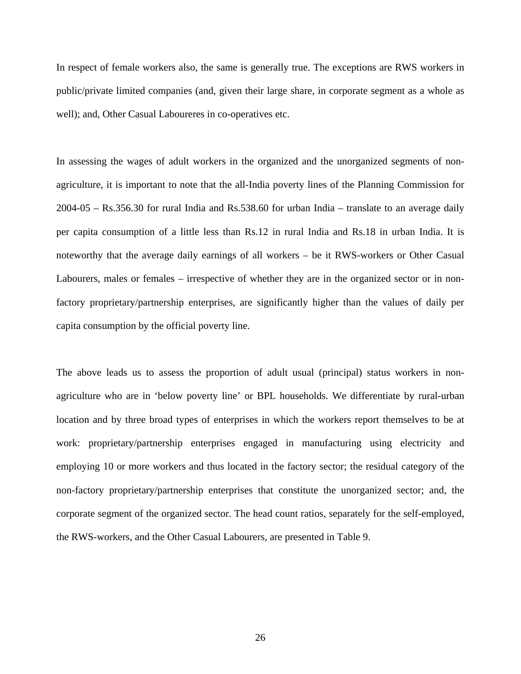In respect of female workers also, the same is generally true. The exceptions are RWS workers in public/private limited companies (and, given their large share, in corporate segment as a whole as well); and, Other Casual Laboureres in co-operatives etc.

In assessing the wages of adult workers in the organized and the unorganized segments of nonagriculture, it is important to note that the all-India poverty lines of the Planning Commission for 2004-05 – Rs.356.30 for rural India and Rs.538.60 for urban India – translate to an average daily per capita consumption of a little less than Rs.12 in rural India and Rs.18 in urban India. It is noteworthy that the average daily earnings of all workers – be it RWS-workers or Other Casual Labourers, males or females – irrespective of whether they are in the organized sector or in nonfactory proprietary/partnership enterprises, are significantly higher than the values of daily per capita consumption by the official poverty line.

The above leads us to assess the proportion of adult usual (principal) status workers in nonagriculture who are in 'below poverty line' or BPL households. We differentiate by rural-urban location and by three broad types of enterprises in which the workers report themselves to be at work: proprietary/partnership enterprises engaged in manufacturing using electricity and employing 10 or more workers and thus located in the factory sector; the residual category of the non-factory proprietary/partnership enterprises that constitute the unorganized sector; and, the corporate segment of the organized sector. The head count ratios, separately for the self-employed, the RWS-workers, and the Other Casual Labourers, are presented in Table 9.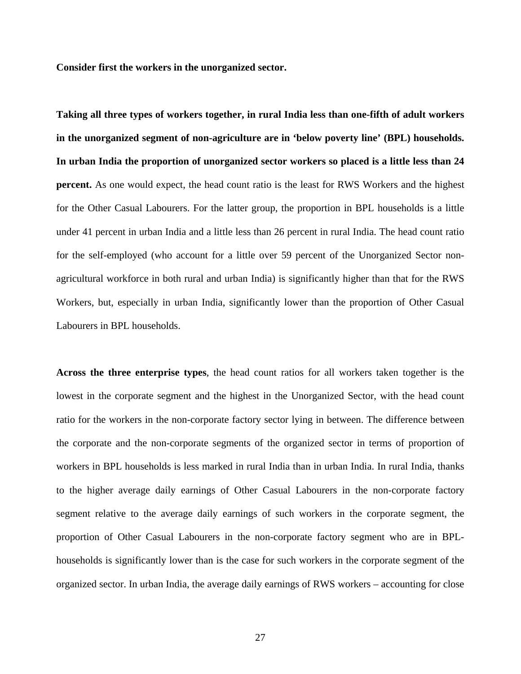**Consider first the workers in the unorganized sector.** 

**Taking all three types of workers together, in rural India less than one-fifth of adult workers in the unorganized segment of non-agriculture are in 'below poverty line' (BPL) households. In urban India the proportion of unorganized sector workers so placed is a little less than 24 percent.** As one would expect, the head count ratio is the least for RWS Workers and the highest for the Other Casual Labourers. For the latter group, the proportion in BPL households is a little under 41 percent in urban India and a little less than 26 percent in rural India. The head count ratio for the self-employed (who account for a little over 59 percent of the Unorganized Sector nonagricultural workforce in both rural and urban India) is significantly higher than that for the RWS Workers, but, especially in urban India, significantly lower than the proportion of Other Casual Labourers in BPL households.

**Across the three enterprise types**, the head count ratios for all workers taken together is the lowest in the corporate segment and the highest in the Unorganized Sector, with the head count ratio for the workers in the non-corporate factory sector lying in between. The difference between the corporate and the non-corporate segments of the organized sector in terms of proportion of workers in BPL households is less marked in rural India than in urban India. In rural India, thanks to the higher average daily earnings of Other Casual Labourers in the non-corporate factory segment relative to the average daily earnings of such workers in the corporate segment, the proportion of Other Casual Labourers in the non-corporate factory segment who are in BPLhouseholds is significantly lower than is the case for such workers in the corporate segment of the organized sector. In urban India, the average daily earnings of RWS workers – accounting for close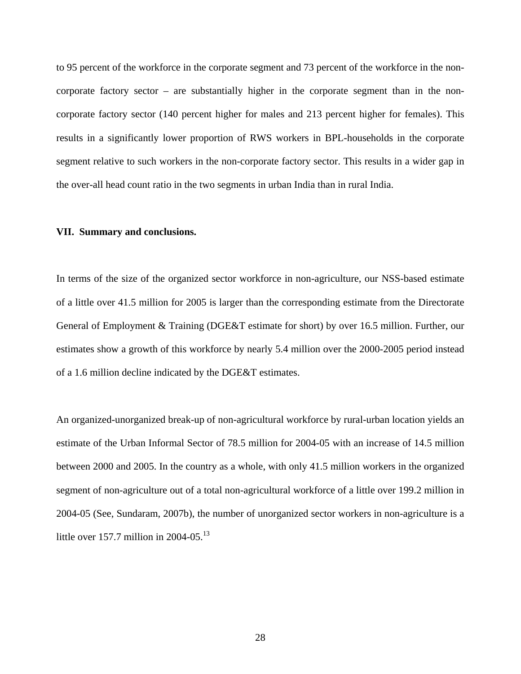to 95 percent of the workforce in the corporate segment and 73 percent of the workforce in the noncorporate factory sector – are substantially higher in the corporate segment than in the noncorporate factory sector (140 percent higher for males and 213 percent higher for females). This results in a significantly lower proportion of RWS workers in BPL-households in the corporate segment relative to such workers in the non-corporate factory sector. This results in a wider gap in the over-all head count ratio in the two segments in urban India than in rural India.

#### **VII. Summary and conclusions.**

In terms of the size of the organized sector workforce in non-agriculture, our NSS-based estimate of a little over 41.5 million for 2005 is larger than the corresponding estimate from the Directorate General of Employment & Training (DGE&T estimate for short) by over 16.5 million. Further, our estimates show a growth of this workforce by nearly 5.4 million over the 2000-2005 period instead of a 1.6 million decline indicated by the DGE&T estimates.

An organized-unorganized break-up of non-agricultural workforce by rural-urban location yields an estimate of the Urban Informal Sector of 78.5 million for 2004-05 with an increase of 14.5 million between 2000 and 2005. In the country as a whole, with only 41.5 million workers in the organized segment of non-agriculture out of a total non-agricultural workforce of a little over 199.2 million in 2004-05 (See, Sundaram, 2007b), the number of unorganized sector workers in non-agriculture is a little over 157.7 million in 2004-05.<sup>[13](#page-43-12)</sup>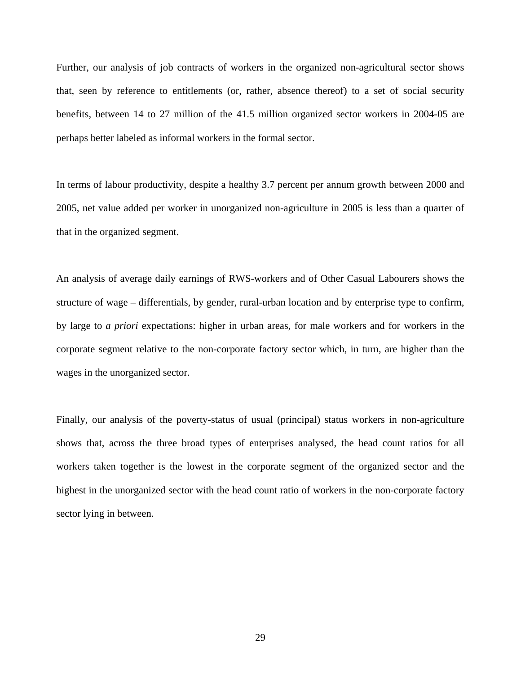Further, our analysis of job contracts of workers in the organized non-agricultural sector shows that, seen by reference to entitlements (or, rather, absence thereof) to a set of social security benefits, between 14 to 27 million of the 41.5 million organized sector workers in 2004-05 are perhaps better labeled as informal workers in the formal sector.

In terms of labour productivity, despite a healthy 3.7 percent per annum growth between 2000 and 2005, net value added per worker in unorganized non-agriculture in 2005 is less than a quarter of that in the organized segment.

An analysis of average daily earnings of RWS-workers and of Other Casual Labourers shows the structure of wage – differentials, by gender, rural-urban location and by enterprise type to confirm, by large to *a priori* expectations: higher in urban areas, for male workers and for workers in the corporate segment relative to the non-corporate factory sector which, in turn, are higher than the wages in the unorganized sector.

Finally, our analysis of the poverty-status of usual (principal) status workers in non-agriculture shows that, across the three broad types of enterprises analysed, the head count ratios for all workers taken together is the lowest in the corporate segment of the organized sector and the highest in the unorganized sector with the head count ratio of workers in the non-corporate factory sector lying in between.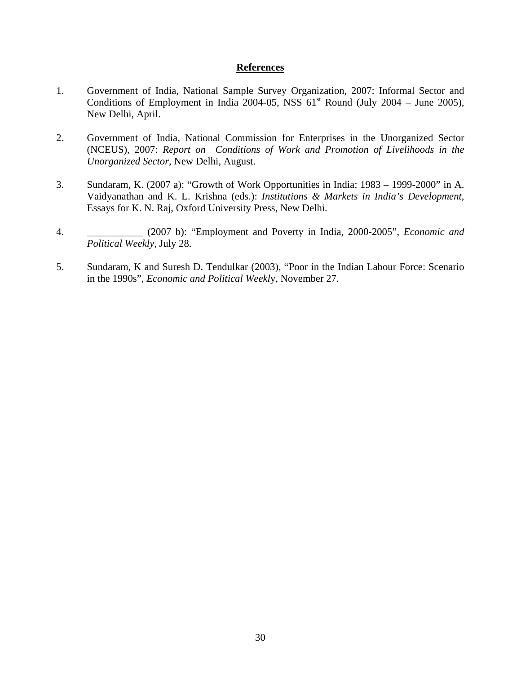#### **References**

- 1. Government of India, National Sample Survey Organization, 2007: Informal Sector and Conditions of Employment in India 2004-05, NSS  $61<sup>st</sup>$  Round (July 2004 – June 2005), New Delhi, April.
- 2. Government of India, National Commission for Enterprises in the Unorganized Sector (NCEUS), 2007: *Report on Conditions of Work and Promotion of Livelihoods in the Unorganized Sector*, New Delhi, August.
- 3. Sundaram, K. (2007 a): "Growth of Work Opportunities in India: 1983 1999-2000" in A. Vaidyanathan and K. L. Krishna (eds.): *Institutions & Markets in India's Development*, Essays for K. N. Raj, Oxford University Press, New Delhi.
- 4. \_\_\_\_\_\_\_\_\_\_\_ (2007 b): "Employment and Poverty in India, 2000-2005", *Economic and Political Weekly*, July 28.
- 5. Sundaram, K and Suresh D. Tendulkar (2003), "Poor in the Indian Labour Force: Scenario in the 1990s", *Economic and Political Weekl*y, November 27.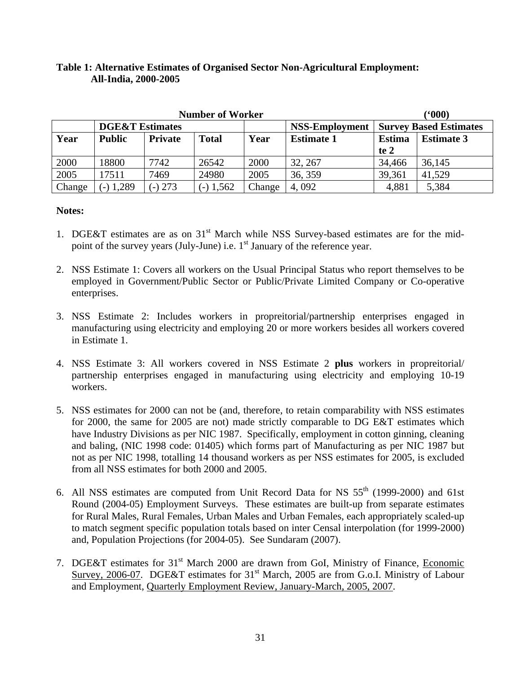## **Table 1: Alternative Estimates of Organised Sector Non-Agricultural Employment: All-India, 2000-2005**

|        |                            |                | <b>Number of Worker</b> | (600)  |                       |               |                               |
|--------|----------------------------|----------------|-------------------------|--------|-----------------------|---------------|-------------------------------|
|        | <b>DGE&amp;T</b> Estimates |                |                         |        | <b>NSS-Employment</b> |               | <b>Survey Based Estimates</b> |
| Year   | <b>Public</b>              | <b>Private</b> | <b>Total</b>            | Year   | <b>Estimate 1</b>     | <b>Estima</b> | <b>Estimate 3</b>             |
|        |                            |                |                         |        |                       | te 2          |                               |
| 2000   | 18800                      | 7742           | 26542                   | 2000   | 32, 267               | 34,466        | 36,145                        |
| 2005   | 17511                      | 7469           | 24980                   | 2005   | 36, 359               | 39,361        | 41,529                        |
| Change | $(-) 1,289$                | $-$ ) 273      | $(-)$ 1,562             | Change | 4,092                 | 4,881         | 5,384                         |

- 1. DGE&T estimates are as on 31<sup>st</sup> March while NSS Survey-based estimates are for the midpoint of the survey years (July-June) i.e.  $1<sup>st</sup>$  January of the reference year.
- 2. NSS Estimate 1: Covers all workers on the Usual Principal Status who report themselves to be employed in Government/Public Sector or Public/Private Limited Company or Co-operative enterprises.
- 3. NSS Estimate 2: Includes workers in propreitorial/partnership enterprises engaged in manufacturing using electricity and employing 20 or more workers besides all workers covered in Estimate 1.
- 4. NSS Estimate 3: All workers covered in NSS Estimate 2 **plus** workers in propreitorial/ partnership enterprises engaged in manufacturing using electricity and employing 10-19 workers.
- 5. NSS estimates for 2000 can not be (and, therefore, to retain comparability with NSS estimates for 2000, the same for 2005 are not) made strictly comparable to DG E&T estimates which have Industry Divisions as per NIC 1987. Specifically, employment in cotton ginning, cleaning and baling, (NIC 1998 code: 01405) which forms part of Manufacturing as per NIC 1987 but not as per NIC 1998, totalling 14 thousand workers as per NSS estimates for 2005, is excluded from all NSS estimates for both 2000 and 2005.
- 6. All NSS estimates are computed from Unit Record Data for NS  $55<sup>th</sup>$  (1999-2000) and 61st Round (2004-05) Employment Surveys. These estimates are built-up from separate estimates for Rural Males, Rural Females, Urban Males and Urban Females, each appropriately scaled-up to match segment specific population totals based on inter Censal interpolation (for 1999-2000) and, Population Projections (for 2004-05). See Sundaram (2007).
- 7. DGE&T estimates for 31<sup>st</sup> March 2000 are drawn from GoI, Ministry of Finance, Economic Survey, 2006-07. DGE&T estimates for  $31<sup>st</sup>$  March, 2005 are from G.o.I. Ministry of Labour and Employment, Quarterly Employment Review, January-March, 2005, 2007.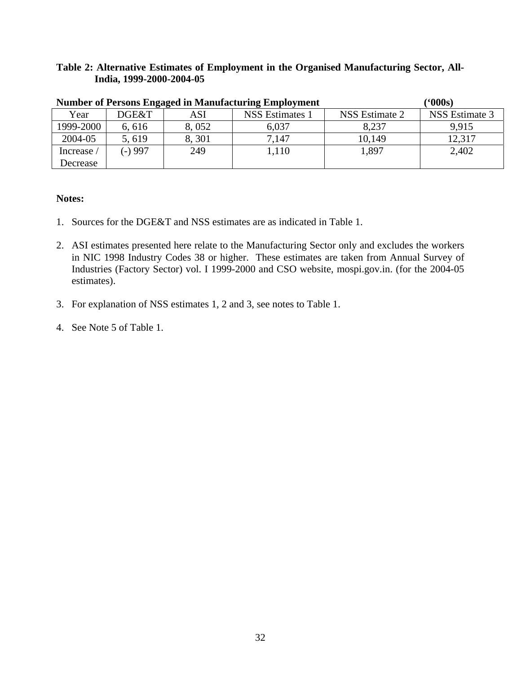## **Table 2: Alternative Estimates of Employment in the Organised Manufacturing Sector, All-India, 1999-2000-2004-05**

|            | <b>Number of Persons Engaged in Manufacturing Employment</b> |       |                 |                |                |  |  |  |  |
|------------|--------------------------------------------------------------|-------|-----------------|----------------|----------------|--|--|--|--|
| Year       | DGE&T                                                        | ASI   | NSS Estimates 1 | NSS Estimate 2 | NSS Estimate 3 |  |  |  |  |
| 1999-2000  | 6,616                                                        | 8,052 | 6,037           | 8,237          | 9,915          |  |  |  |  |
| 2004-05    | 5,619                                                        | 8,301 | 7,147           | 10,149         | 12,317         |  |  |  |  |
| Increase / | $(-)997$                                                     | 249   | 1,110           | 1.897          | 2,402          |  |  |  |  |
| Decrease   |                                                              |       |                 |                |                |  |  |  |  |

- 1. Sources for the DGE&T and NSS estimates are as indicated in Table 1.
- 2. ASI estimates presented here relate to the Manufacturing Sector only and excludes the workers in NIC 1998 Industry Codes 38 or higher. These estimates are taken from Annual Survey of Industries (Factory Sector) vol. I 1999-2000 and CSO website, mospi.gov.in. (for the 2004-05 estimates).
- 3. For explanation of NSS estimates 1, 2 and 3, see notes to Table 1.
- 4. See Note 5 of Table 1.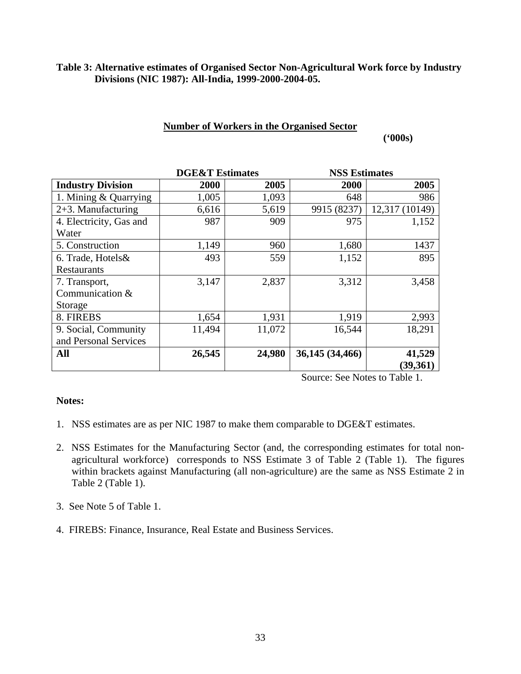### **Table 3: Alternative estimates of Organised Sector Non-Agricultural Work force by Industry Divisions (NIC 1987): All-India, 1999-2000-2004-05.**

## **Number of Workers in the Organised Sector**

 **('000s)** 

|                          | <b>DGE&amp;T</b> Estimates |        | <b>NSS Estimates</b> |                |
|--------------------------|----------------------------|--------|----------------------|----------------|
| <b>Industry Division</b> | 2000                       | 2005   | 2000                 | 2005           |
| 1. Mining & Quarrying    | 1,005                      | 1,093  | 648                  | 986            |
| $2+3$ . Manufacturing    | 6,616                      | 5,619  | 9915 (8237)          | 12,317 (10149) |
| 4. Electricity, Gas and  | 987                        | 909    | 975                  | 1,152          |
| Water                    |                            |        |                      |                |
| 5. Construction          | 1,149                      | 960    | 1,680                | 1437           |
| 6. Trade, Hotels &       | 493                        | 559    | 1,152                | 895            |
| Restaurants              |                            |        |                      |                |
| 7. Transport,            | 3,147                      | 2,837  | 3,312                | 3,458          |
| Communication &          |                            |        |                      |                |
| Storage                  |                            |        |                      |                |
| 8. FIREBS                | 1,654                      | 1,931  | 1,919                | 2,993          |
| 9. Social, Community     | 11,494                     | 11,072 | 16,544               | 18,291         |
| and Personal Services    |                            |        |                      |                |
| All                      | 26,545                     | 24,980 | 36,145 (34,466)      | 41,529         |
|                          |                            |        |                      | (39, 361)      |

Source: See Notes to Table 1.

- 1. NSS estimates are as per NIC 1987 to make them comparable to DGE&T estimates.
- 2. NSS Estimates for the Manufacturing Sector (and, the corresponding estimates for total nonagricultural workforce) corresponds to NSS Estimate 3 of Table 2 (Table 1). The figures within brackets against Manufacturing (all non-agriculture) are the same as NSS Estimate 2 in Table 2 (Table 1).
- 3. See Note 5 of Table 1.
- 4. FIREBS: Finance, Insurance, Real Estate and Business Services.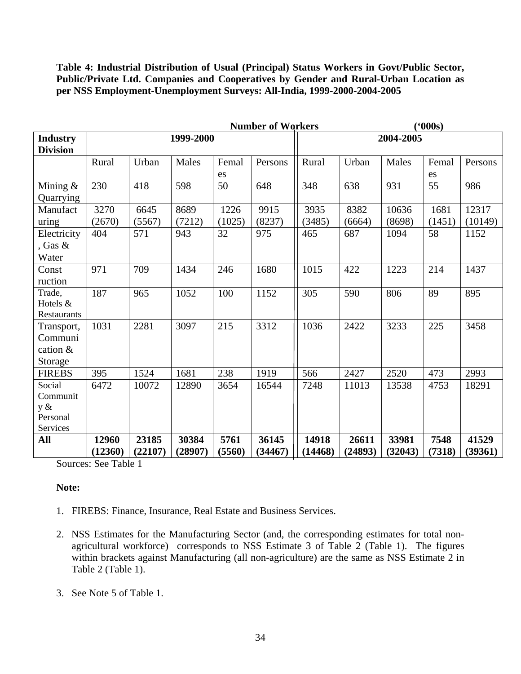**Table 4: Industrial Distribution of Usual (Principal) Status Workers in Govt/Public Sector, Public/Private Ltd. Companies and Cooperatives by Gender and Rural-Urban Location as per NSS Employment-Unemployment Surveys: All-India, 1999-2000-2004-2005** 

|                      |         |         |           |        | <b>Number of Workers</b> | (600s)  |         |           |        |         |
|----------------------|---------|---------|-----------|--------|--------------------------|---------|---------|-----------|--------|---------|
| <b>Industry</b>      |         |         | 1999-2000 |        |                          |         |         | 2004-2005 |        |         |
| <b>Division</b>      |         |         |           |        |                          |         |         |           |        |         |
|                      | Rural   | Urban   | Males     | Femal  | Persons                  | Rural   | Urban   | Males     | Femal  | Persons |
|                      |         |         |           | es     |                          |         |         |           | es     |         |
| Mining $&$           | 230     | 418     | 598       | 50     | 648                      | 348     | 638     | 931       | 55     | 986     |
| Quarrying            |         |         |           |        |                          |         |         |           |        |         |
| Manufact             | 3270    | 6645    | 8689      | 1226   | 9915                     | 3935    | 8382    | 10636     | 1681   | 12317   |
| uring                | (2670)  | (5567)  | (7212)    | (1025) | (8237)                   | (3485)  | (6664)  | (8698)    | (1451) | (10149) |
| Electricity          | 404     | 571     | 943       | 32     | 975                      | 465     | 687     | 1094      | 58     | 1152    |
| , Gas $\&$           |         |         |           |        |                          |         |         |           |        |         |
| Water                |         |         |           |        |                          |         |         |           |        |         |
| Const                | 971     | 709     | 1434      | 246    | 1680                     | 1015    | 422     | 1223      | 214    | 1437    |
| ruction              |         |         |           |        |                          |         |         |           |        |         |
| Trade,               | 187     | 965     | 1052      | 100    | 1152                     | 305     | 590     | 806       | 89     | 895     |
| Hotels &             |         |         |           |        |                          |         |         |           |        |         |
| Restaurants          |         |         |           |        |                          |         |         |           |        |         |
| Transport,           | 1031    | 2281    | 3097      | 215    | 3312                     | 1036    | 2422    | 3233      | 225    | 3458    |
| Communi              |         |         |           |        |                          |         |         |           |        |         |
| cation &             |         |         |           |        |                          |         |         |           |        |         |
| Storage              |         |         |           |        |                          |         |         |           |        |         |
| <b>FIREBS</b>        | 395     | 1524    | 1681      | 238    | 1919                     | 566     | 2427    | 2520      | 473    | 2993    |
| Social               | 6472    | 10072   | 12890     | 3654   | 16544                    | 7248    | 11013   | 13538     | 4753   | 18291   |
| Communit             |         |         |           |        |                          |         |         |           |        |         |
| y &                  |         |         |           |        |                          |         |         |           |        |         |
| Personal<br>Services |         |         |           |        |                          |         |         |           |        |         |
| All                  | 12960   | 23185   | 30384     | 5761   | 36145                    | 14918   | 26611   | 33981     | 7548   | 41529   |
|                      | (12360) | (22107) | (28907)   | (5560) | (34467)                  | (14468) | (24893) | (32043)   | (7318) | (39361) |
|                      |         |         |           |        |                          |         |         |           |        |         |

Sources: See Table 1

- 1. FIREBS: Finance, Insurance, Real Estate and Business Services.
- 2. NSS Estimates for the Manufacturing Sector (and, the corresponding estimates for total nonagricultural workforce) corresponds to NSS Estimate 3 of Table 2 (Table 1). The figures within brackets against Manufacturing (all non-agriculture) are the same as NSS Estimate 2 in Table 2 (Table 1).
- 3. See Note 5 of Table 1.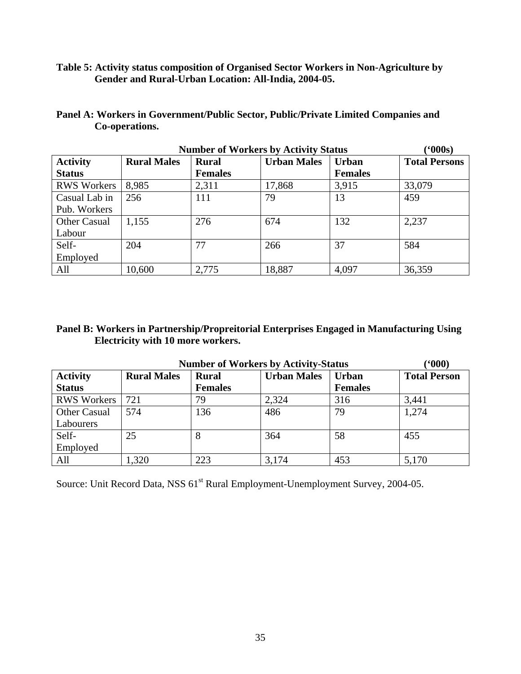**Table 5: Activity status composition of Organised Sector Workers in Non-Agriculture by Gender and Rural-Urban Location: All-India, 2004-05.** 

| Panel A: Workers in Government/Public Sector, Public/Private Limited Companies and |
|------------------------------------------------------------------------------------|
| Co-operations.                                                                     |

|                     |                    | <b>Number of Workers by Activity Status</b> |                    |                | (000s)               |
|---------------------|--------------------|---------------------------------------------|--------------------|----------------|----------------------|
| <b>Activity</b>     | <b>Rural Males</b> | <b>Rural</b>                                | <b>Urban Males</b> | <b>Urban</b>   | <b>Total Persons</b> |
| <b>Status</b>       |                    | <b>Females</b>                              |                    | <b>Females</b> |                      |
| <b>RWS Workers</b>  | 8,985              | 2,311                                       | 17,868             | 3,915          | 33,079               |
| Casual Lab in       | 256                | 111                                         | 79                 | 13             | 459                  |
| Pub. Workers        |                    |                                             |                    |                |                      |
| <b>Other Casual</b> | 1,155              | 276                                         | 674                | 132            | 2,237                |
| Labour              |                    |                                             |                    |                |                      |
| Self-               | 204                | 77                                          | 266                | 37             | 584                  |
| Employed            |                    |                                             |                    |                |                      |
| All                 | 10,600             | 2,775                                       | 18,887             | 4,097          | 36,359               |

## **Panel B: Workers in Partnership/Propreitorial Enterprises Engaged in Manufacturing Using Electricity with 10 more workers.**

| (600)<br><b>Number of Workers by Activity-Status</b> |                    |                |                    |                |                     |  |  |  |  |  |
|------------------------------------------------------|--------------------|----------------|--------------------|----------------|---------------------|--|--|--|--|--|
| <b>Activity</b>                                      | <b>Rural Males</b> | <b>Rural</b>   | <b>Urban Males</b> | <b>Urban</b>   | <b>Total Person</b> |  |  |  |  |  |
| <b>Status</b>                                        |                    | <b>Females</b> |                    | <b>Females</b> |                     |  |  |  |  |  |
| <b>RWS Workers</b>                                   | 721                | 79             | 2,324              | 316            | 3,441               |  |  |  |  |  |
| <b>Other Casual</b>                                  | 574                | 136            | 486                | 79             | 1,274               |  |  |  |  |  |
| Labourers                                            |                    |                |                    |                |                     |  |  |  |  |  |
| Self-                                                | 25                 | 8              | 364                | 58             | 455                 |  |  |  |  |  |
| Employed                                             |                    |                |                    |                |                     |  |  |  |  |  |
| All                                                  | 1,320              | 223            | 3,174              | 453            | 5,170               |  |  |  |  |  |

Source: Unit Record Data, NSS 61<sup>st</sup> Rural Employment-Unemployment Survey, 2004-05.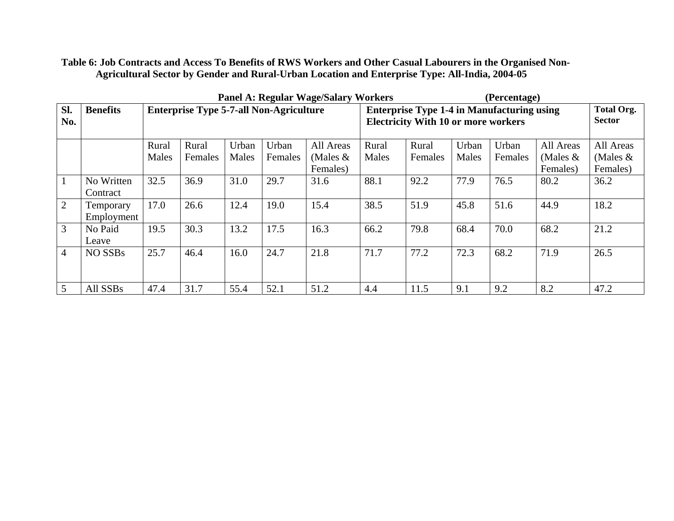**Table 6: Job Contracts and Access To Benefits of RWS Workers and Other Casual Labourers in the Organised Non-Agricultural Sector by Gender and Rural-Urban Location and Enterprise Type: All-India, 2004-05** 

|                |                   |       | <b>Panel A: Regular Wage/Salary Workers</b>    |       |         |            | (Percentage)                                                                                    |         |       |         |            |                                    |
|----------------|-------------------|-------|------------------------------------------------|-------|---------|------------|-------------------------------------------------------------------------------------------------|---------|-------|---------|------------|------------------------------------|
| Sl.<br>No.     | <b>Benefits</b>   |       | <b>Enterprise Type 5-7-all Non-Agriculture</b> |       |         |            | <b>Enterprise Type 1-4 in Manufacturing using</b><br><b>Electricity With 10 or more workers</b> |         |       |         |            | <b>Total Org.</b><br><b>Sector</b> |
|                |                   | Rural | Rural                                          | Urban | Urban   | All Areas  | Rural                                                                                           | Rural   | Urban | Urban   | All Areas  | All Areas                          |
|                |                   | Males | Females                                        | Males | Females | (Males $&$ | Males                                                                                           | Females | Males | Females | (Males $&$ | (Males $&$                         |
|                |                   |       |                                                |       |         | Females)   |                                                                                                 |         |       |         | Females)   | Females)                           |
| $\mathbf{1}$   | No Written        | 32.5  | 36.9                                           | 31.0  | 29.7    | 31.6       | 88.1                                                                                            | 92.2    | 77.9  | 76.5    | 80.2       | 36.2                               |
|                | Contract          |       |                                                |       |         |            |                                                                                                 |         |       |         |            |                                    |
| 2              | Temporary         | 17.0  | 26.6                                           | 12.4  | 19.0    | 15.4       | 38.5                                                                                            | 51.9    | 45.8  | 51.6    | 44.9       | 18.2                               |
|                | <b>Employment</b> |       |                                                |       |         |            |                                                                                                 |         |       |         |            |                                    |
| 3              | No Paid           | 19.5  | 30.3                                           | 13.2  | 17.5    | 16.3       | 66.2                                                                                            | 79.8    | 68.4  | 70.0    | 68.2       | 21.2                               |
|                | Leave             |       |                                                |       |         |            |                                                                                                 |         |       |         |            |                                    |
| $\overline{4}$ | NO SSBs           | 25.7  | 46.4                                           | 16.0  | 24.7    | 21.8       | 71.7                                                                                            | 77.2    | 72.3  | 68.2    | 71.9       | 26.5                               |
|                |                   |       |                                                |       |         |            |                                                                                                 |         |       |         |            |                                    |
| $\overline{5}$ | All SSBs          | 47.4  | 31.7                                           | 55.4  | 52.1    | 51.2       | 4.4                                                                                             | 11.5    | 9.1   | 9.2     | 8.2        | 47.2                               |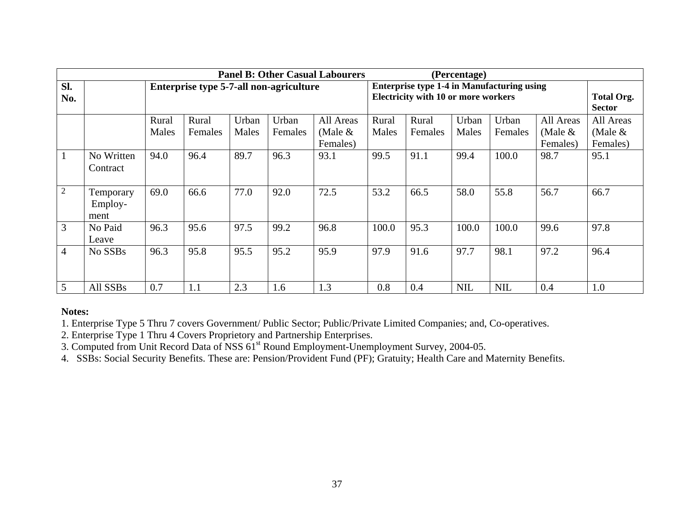|                | <b>Panel B: Other Casual Labourers</b><br>(Percentage) |       |         |       |                                         |           |       |                                                   |            |            |           |                   |
|----------------|--------------------------------------------------------|-------|---------|-------|-----------------------------------------|-----------|-------|---------------------------------------------------|------------|------------|-----------|-------------------|
| SI.            |                                                        |       |         |       | Enterprise type 5-7-all non-agriculture |           |       | <b>Enterprise type 1-4 in Manufacturing using</b> |            |            |           |                   |
| No.            |                                                        |       |         |       |                                         |           |       | <b>Electricity with 10 or more workers</b>        |            |            |           | <b>Total Org.</b> |
|                |                                                        |       |         |       |                                         |           |       |                                                   |            |            |           | <b>Sector</b>     |
|                |                                                        | Rural | Rural   | Urban | Urban                                   | All Areas | Rural | Rural                                             | Urban      | Urban      | All Areas | All Areas         |
|                |                                                        | Males | Females | Males | Females                                 | (Male $&$ | Males | Females                                           | Males      | Females    | (Male &   | (Male $\&$        |
|                |                                                        |       |         |       |                                         | Females)  |       |                                                   |            |            | Females)  | Females)          |
|                | No Written                                             | 94.0  | 96.4    | 89.7  | 96.3                                    | 93.1      | 99.5  | 91.1                                              | 99.4       | 100.0      | 98.7      | 95.1              |
|                | Contract                                               |       |         |       |                                         |           |       |                                                   |            |            |           |                   |
|                |                                                        |       |         |       |                                         |           |       |                                                   |            |            |           |                   |
| $\overline{2}$ | Temporary                                              | 69.0  | 66.6    | 77.0  | 92.0                                    | 72.5      | 53.2  | 66.5                                              | 58.0       | 55.8       | 56.7      | 66.7              |
|                | Employ-                                                |       |         |       |                                         |           |       |                                                   |            |            |           |                   |
|                | ment                                                   |       |         |       |                                         |           |       |                                                   |            |            |           |                   |
| 3              | No Paid                                                | 96.3  | 95.6    | 97.5  | 99.2                                    | 96.8      | 100.0 | 95.3                                              | 100.0      | 100.0      | 99.6      | 97.8              |
|                | Leave                                                  |       |         |       |                                         |           |       |                                                   |            |            |           |                   |
| 4              | No SSBs                                                | 96.3  | 95.8    | 95.5  | 95.2                                    | 95.9      | 97.9  | 91.6                                              | 97.7       | 98.1       | 97.2      | 96.4              |
|                |                                                        |       |         |       |                                         |           |       |                                                   |            |            |           |                   |
|                |                                                        |       |         |       |                                         |           |       |                                                   |            |            |           |                   |
| 5              | All SSBs                                               | 0.7   | 1.1     | 2.3   | 1.6                                     | 1.3       | 0.8   | 0.4                                               | <b>NIL</b> | <b>NIL</b> | 0.4       | 1.0               |

## **Notes:**

1. Enterprise Type 5 Thru 7 covers Government/ Public Sector; Public/Private Limited Companies; and, Co-operatives.

2. Enterprise Type 1 Thru 4 Covers Proprietory and Partnership Enterprises.

3. Computed from Unit Record Data of NSS 61<sup>st</sup> Round Employment-Unemployment Survey, 2004-05.

4. SSBs: Social Security B enefits. These are: Pension/Provident Fund (PF); Gratuity; Health Care and Maternity Benefits.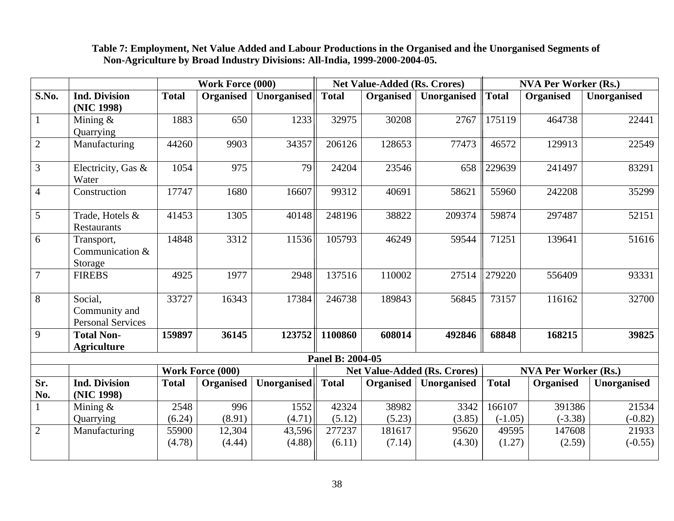|                 |                                                      |              | <b>Work Force (000)</b> |                    |                  | <b>Net Value-Added (Rs. Crores)</b> |                                     |              | <b>NVA Per Worker (Rs.)</b> |             |
|-----------------|------------------------------------------------------|--------------|-------------------------|--------------------|------------------|-------------------------------------|-------------------------------------|--------------|-----------------------------|-------------|
| <b>S.No.</b>    | <b>Ind. Division</b><br>(NIC 1998)                   | <b>Total</b> | <b>Organised</b>        | <b>Unorganised</b> | <b>Total</b>     | <b>Organised</b>                    | Unorganised                         | <b>Total</b> | Organised                   | Unorganised |
| $\overline{1}$  | Mining $&$<br>Quarrying                              | 1883         | 650                     | 1233               | 32975            | 30208                               | 2767                                | 175119       | 464738                      | 22441       |
| 2               | Manufacturing                                        | 44260        | 9903                    | 34357              | 206126           | 128653                              | 77473                               | 46572        | 129913                      | 22549       |
| $\overline{3}$  | Electricity, Gas &<br>Water                          | 1054         | 975                     | 79                 | 24204            | 23546                               | 658                                 | 229639       | 241497                      | 83291       |
| $\overline{4}$  | Construction                                         | 17747        | 1680                    | 16607              | 99312            | 40691                               | 58621                               | 55960        | 242208                      | 35299       |
| $5\overline{)}$ | Trade, Hotels &<br><b>Restaurants</b>                | 41453        | 1305                    | 40148              | 248196           | 38822                               | 209374                              | 59874        | 297487                      | 52151       |
| 6               | Transport,<br>Communication &<br>Storage             | 14848        | 3312                    | 11536              | 105793           | 46249                               | 59544                               | 71251        | 139641                      | 51616       |
| $\overline{7}$  | <b>FIREBS</b>                                        | 4925         | 1977                    | 2948               | 137516           | 110002                              | 27514                               | 279220       | 556409                      | 93331       |
| $\overline{8}$  | Social,<br>Community and<br><b>Personal Services</b> | 33727        | 16343                   | 17384              | 246738           | 189843                              | 56845                               | 73157        | 116162                      | 32700       |
| 9               | <b>Total Non-</b><br><b>Agriculture</b>              | 159897       | 36145                   | 123752             | 1100860          | 608014                              | 492846                              | 68848        | 168215                      | 39825       |
|                 |                                                      |              |                         |                    | Panel B: 2004-05 |                                     |                                     |              |                             |             |
|                 |                                                      |              | <b>Work Force (000)</b> |                    |                  |                                     | <b>Net Value-Added (Rs. Crores)</b> |              | <b>NVA Per Worker (Rs.)</b> |             |
| Sr.<br>No.      | <b>Ind. Division</b><br>(NIC 1998)                   | <b>Total</b> | <b>Organised</b>        | Unorganised        | <b>Total</b>     | Organised                           | Unorganised                         | <b>Total</b> | <b>Organised</b>            | Unorganised |
| 1               | Mining $&$                                           | 2548         | 996                     | 1552               | 42324            | 38982                               | 3342                                | 166107       | 391386                      | 21534       |
|                 | Quarrying                                            | (6.24)       | (8.91)                  | (4.71)             | (5.12)           | (5.23)                              | (3.85)                              | $(-1.05)$    | $(-3.38)$                   | $(-0.82)$   |
| $\overline{2}$  | Manufacturing                                        | 55900        | 12,304                  | 43,596             | 277237           | 181617                              | 95620                               | 49595        | 147608                      | 21933       |
|                 |                                                      | (4.78)       | (4.44)                  | (4.88)             | (6.11)           | (7.14)                              | (4.30)                              | (1.27)       | (2.59)                      | $(-0.55)$   |

## **Table 7: Employment, Net Value Added and Labour Productions in the Organised and the Unorganised Segments of Non-Agriculture by Broad Industry Divisions: All-India, 1999-2000-2004-05.**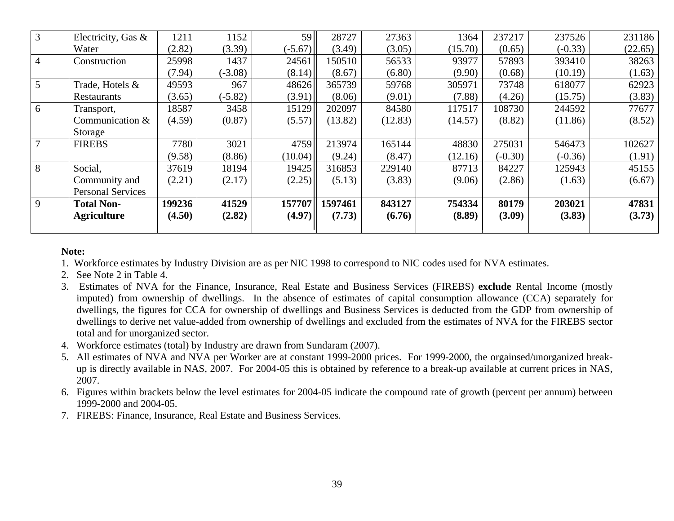| 3 | Electricity, Gas &       | 1211   | 1152      | 59        | 28727   | 27363   | 1364    | 237217    | 237526    | 231186  |
|---|--------------------------|--------|-----------|-----------|---------|---------|---------|-----------|-----------|---------|
|   | Water                    | (2.82) | (3.39)    | $(-5.67)$ | (3.49)  | (3.05)  | (15.70) | (0.65)    | $(-0.33)$ | (22.65) |
| 4 | Construction             | 25998  | 1437      | 24561     | 150510  | 56533   | 93977   | 57893     | 393410    | 38263   |
|   |                          | (7.94) | $(-3.08)$ | (8.14)    | (8.67)  | (6.80)  | (9.90)  | (0.68)    | (10.19)   | (1.63)  |
| 5 | Trade, Hotels &          | 49593  | 967       | 48626     | 365739  | 59768   | 305971  | 73748     | 618077    | 62923   |
|   | Restaurants              | (3.65) | $(-5.82)$ | (3.91)    | (8.06)  | (9.01)  | (7.88)  | (4.26)    | (15.75)   | (3.83)  |
| 6 | Transport,               | 18587  | 3458      | 15129     | 202097  | 84580   | 117517  | 108730    | 244592    | 77677   |
|   | Communication &          | (4.59) | (0.87)    | (5.57)    | (13.82) | (12.83) | (14.57) | (8.82)    | (11.86)   | (8.52)  |
|   | Storage                  |        |           |           |         |         |         |           |           |         |
|   | <b>FIREBS</b>            | 7780   | 3021      | 4759      | 213974  | 165144  | 48830   | 275031    | 546473    | 102627  |
|   |                          | (9.58) | (8.86)    | (10.04)   | (9.24)  | (8.47)  | (12.16) | $(-0.30)$ | $(-0.36)$ | (1.91)  |
| 8 | Social,                  | 37619  | 18194     | 19425     | 316853  | 229140  | 87713   | 84227     | 125943    | 45155   |
|   | Community and            | (2.21) | (2.17)    | (2.25)    | (5.13)  | (3.83)  | (9.06)  | (2.86)    | (1.63)    | (6.67)  |
|   | <b>Personal Services</b> |        |           |           |         |         |         |           |           |         |
| 9 | <b>Total Non-</b>        | 199236 | 41529     | 157707    | 1597461 | 843127  | 754334  | 80179     | 203021    | 47831   |
|   | <b>Agriculture</b>       | (4.50) | (2.82)    | (4.97)    | (7.73)  | (6.76)  | (8.89)  | (3.09)    | (3.83)    | (3.73)  |
|   |                          |        |           |           |         |         |         |           |           |         |

## **Note:**

1. Workforce estimates by Industry Division are as per NIC 1998 to correspond to NIC codes used for NVA estimates.

- 2. See Note 2 in Table 4.
- 3. Estimates of NVA for the Finance, Insurance, Real Estate and Business Services (FIREBS) **exclude** Rental Income (mostly imputed) from ownership of dwellings. In the absence of estimates of capital consumption allowance (CCA) separately for dwellings, the figures for CCA for ownership of dwellings and Business Services is deducted from the GDP from ownership of dwellings to derive net value-added from ownership of dwellings and excluded from the estimates of NVA for the FIREBS sector total and for unorganized sector.
- 4. Workforce estimates (total) by Industry are drawn from Sundaram (2007).
- 5. All estimates of NVA and NVA per Worker are at constant 1999-2000 prices. For 1999-2000, the orgainsed/unorganized breakup is directly available in NAS, 2007. For 2004-05 this is obtained by reference to a break-up available at current prices in NAS, 2007.
- 6. Figures within brackets below the level estimates for 2004-05 indicate the compound rate of growth (percent per annum) between 1999-2000 and 2004-05.
- 7. FIREBS: Finance, Insurance, Real Estate and Business Services.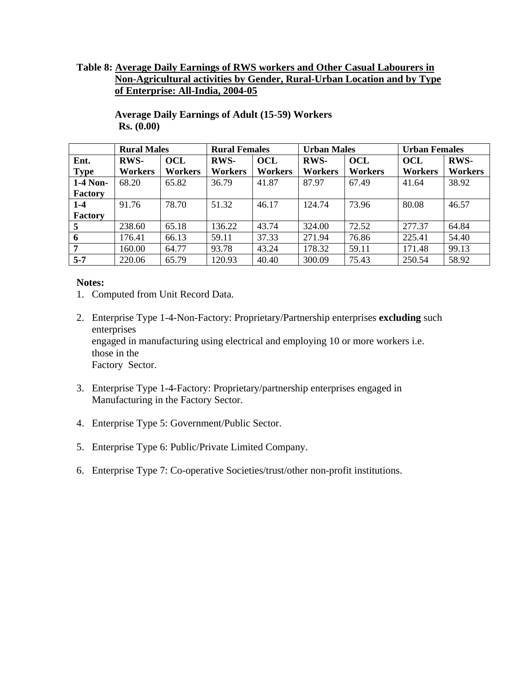## **Table 8: Average Daily Earnings of RWS workers and Other Casual Labourers in Non-Agricultural activities by Gender, Rural-Urban Location and by Type of Enterprise: All-India, 2004-05**

|                | <b>Rural Males</b> |            | <b>Rural Females</b> |                | <b>Urban Males</b> |                | <b>Urban Females</b> |                |
|----------------|--------------------|------------|----------------------|----------------|--------------------|----------------|----------------------|----------------|
| Ent.           | <b>RWS-</b>        | <b>OCL</b> | <b>RWS-</b>          | <b>OCL</b>     | <b>RWS-</b>        | <b>OCL</b>     | <b>OCL</b>           | <b>RWS-</b>    |
| <b>Type</b>    | <b>Workers</b>     | Workers    | <b>Workers</b>       | <b>Workers</b> | <b>Workers</b>     | <b>Workers</b> | Workers              | <b>Workers</b> |
| 1-4 Non-       | 68.20              | 65.82      | 36.79                | 41.87          | 87.97              | 67.49          | 41.64                | 38.92          |
| Factory        |                    |            |                      |                |                    |                |                      |                |
| 1-4            | 91.76              | 78.70      | 51.32                | 46.17          | 124.74             | 73.96          | 80.08                | 46.57          |
| Factory        |                    |            |                      |                |                    |                |                      |                |
| 5              | 238.60             | 65.18      | 136.22               | 43.74          | 324.00             | 72.52          | 277.37               | 64.84          |
| 6              | 176.41             | 66.13      | 59.11                | 37.33          | 271.94             | 76.86          | 225.41               | 54.40          |
| $\overline{7}$ | 160.00             | 64.77      | 93.78                | 43.24          | 178.32             | 59.11          | 171.48               | 99.13          |
| $5 - 7$        | 220.06             | 65.79      | 120.93               | 40.40          | 300.09             | 75.43          | 250.54               | 58.92          |

**Average Daily Earnings of Adult (15-59) Workers Rs. (0.00)** 

- 1. Computed from Unit Record Data.
- 2. Enterprise Type 1-4-Non-Factory: Proprietary/Partnership enterprises **excluding** such enterprises engaged in manufacturing using electrical and employing 10 or more workers i.e. those in the Factory Sector.
- 3. Enterprise Type 1-4-Factory: Proprietary/partnership enterprises engaged in Manufacturing in the Factory Sector.
- 4. Enterprise Type 5: Government/Public Sector.
- 5. Enterprise Type 6: Public/Private Limited Company.
- 6. Enterprise Type 7: Co-operative Societies/trust/other non-profit institutions.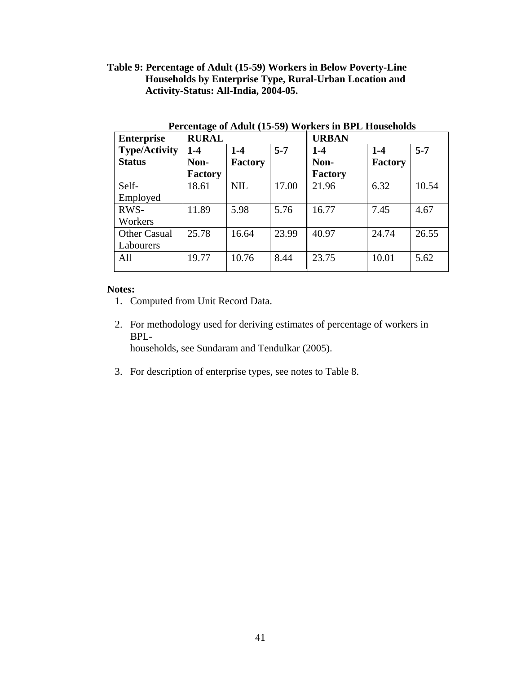## **Table 9: Percentage of Adult (15-59) Workers in Below Poverty-Line Households by Enterprise Type, Rural-Urban Location and Activity-Status: All-India, 2004-05.**

| <b>Enterprise</b>    | $\overline{\phantom{a}}$<br><b>RURAL</b> |            |         | <b>URBAN</b> |         |         |
|----------------------|------------------------------------------|------------|---------|--------------|---------|---------|
| <b>Type/Activity</b> | $1-4$                                    | $1-4$      | $5 - 7$ | $1 - 4$      | $1-4$   | $5 - 7$ |
| <b>Status</b>        | Non-                                     | Factory    |         | Non-         | Factory |         |
|                      | <b>Factory</b>                           |            |         | Factory      |         |         |
| Self-                | 18.61                                    | <b>NIL</b> | 17.00   | 21.96        | 6.32    | 10.54   |
| Employed             |                                          |            |         |              |         |         |
| RWS-                 | 11.89                                    | 5.98       | 5.76    | 16.77        | 7.45    | 4.67    |
| Workers              |                                          |            |         |              |         |         |
| <b>Other Casual</b>  | 25.78                                    | 16.64      | 23.99   | 40.97        | 24.74   | 26.55   |
| Labourers            |                                          |            |         |              |         |         |
| All                  | 19.77                                    | 10.76      | 8.44    | 23.75        | 10.01   | 5.62    |
|                      |                                          |            |         |              |         |         |

**Percentage of Adult (15-59) Workers in BPL Households**

- 1. Computed from Unit Record Data.
- 2. For methodology used for deriving estimates of percentage of workers in BPL households, see Sundaram and Tendulkar (2005).
- 3. For description of enterprise types, see notes to Table 8.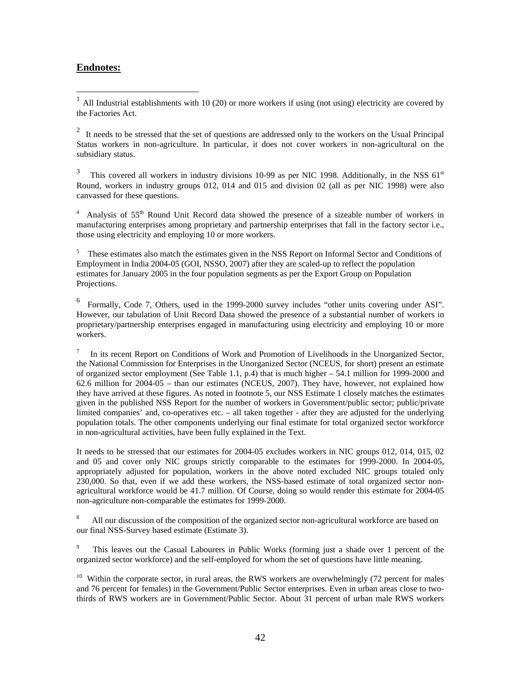### **Endnotes:**

1

<sup>1</sup> All Industrial establishments with 10 (20) or more workers if using (not using) electricity are covered by the Factories Act.

 $2<sup>2</sup>$  It needs to be stressed that the set of questions are addressed only to the workers on the Usual Principal Status workers in non-agriculture. In particular, it does not cover workers in non-agricultural on the subsidiary status.

3 This covered all workers in industry divisions 10-99 as per NIC 1998. Additionally, in the NSS 61<sup>st</sup> Round, workers in industry groups 012, 014 and 015 and division 02 (all as per NIC 1998) were also canvassed for these questions.

<sup>4</sup> Analysis of 55<sup>th</sup> Round Unit Record data showed the presence of a sizeable number of workers in manufacturing enterprises among proprietary and partnership enterprises that fall in the factory sector i.e., those using electricity and employing 10 or more workers.

<sup>5</sup> These estimates also match the estimates given in the NSS Report on Informal Sector and Conditions of Employment in India 2004-05 (GOI, NSSO, 2007) after they are scaled-up to reflect the population estimates for January 2005 in the four population segments as per the Export Group on Population Projections.

<sup>6</sup> Formally, Code 7, Others, used in the 1999-2000 survey includes "other units covering under ASI". However, our tabulation of Unit Record Data showed the presence of a substantial number of workers in proprietary/partnership enterprises engaged in manufacturing using electricity and employing 10 or more workers.

7 In its recent Report on Conditions of Work and Promotion of Livelihoods in the Unorganized Sector, the National Commission for Enterprises in the Unorganized Sector (NCEUS, for short) present an estimate of organized sector employment (See Table 1.1, p.4) that is much higher – 54.1 million for 1999-2000 and 62.6 million for 2004-05 – than our estimates (NCEUS, 2007). They have, however, not explained how they have arrived at these figures. As noted in footnote 5, our NSS Estimate 1 closely matches the estimates given in the published NSS Report for the number of workers in Government/public sector; public/private limited companies' and, co-operatives etc. – all taken together - after they are adjusted for the underlying population totals. The other components underlying our final estimate for total organized sector workforce in non-agricultural activities, have been fully explained in the Text.

It needs to be stressed that our estimates for 2004-05 excludes workers in NIC groups 012, 014, 015, 02 and 05 and cover only NIC groups strictly comparable to the estimates for 1999-2000. In 2004-05, appropriately adjusted for population, workers in the above noted excluded NIC groups totaled only 230,000. So that, even if we add these workers, the NSS-based estimate of total organized sector nonagricultural workforce would be 41.7 million. Of Course, doing so would render this estimate for 2004-05 non-agriculture non-comparable the estimates for 1999-2000.

8 All our discussion of the composition of the organized sector non-agricultural workforce are based on our final NSS-Survey based estimate (Estimate 3).

9 This leaves out the Casual Labourers in Public Works (forming just a shade over 1 percent of the organized sector workforce) and the self-employed for whom the set of questions have little meaning.

<sup>10</sup> Within the corporate sector, in rural areas, the RWS workers are overwhelmingly (72 percent for males and 76 percent for females) in the Government/Public Sector enterprises. Even in urban areas close to twothirds of RWS workers are in Government/Public Sector. About 31 percent of urban male RWS workers